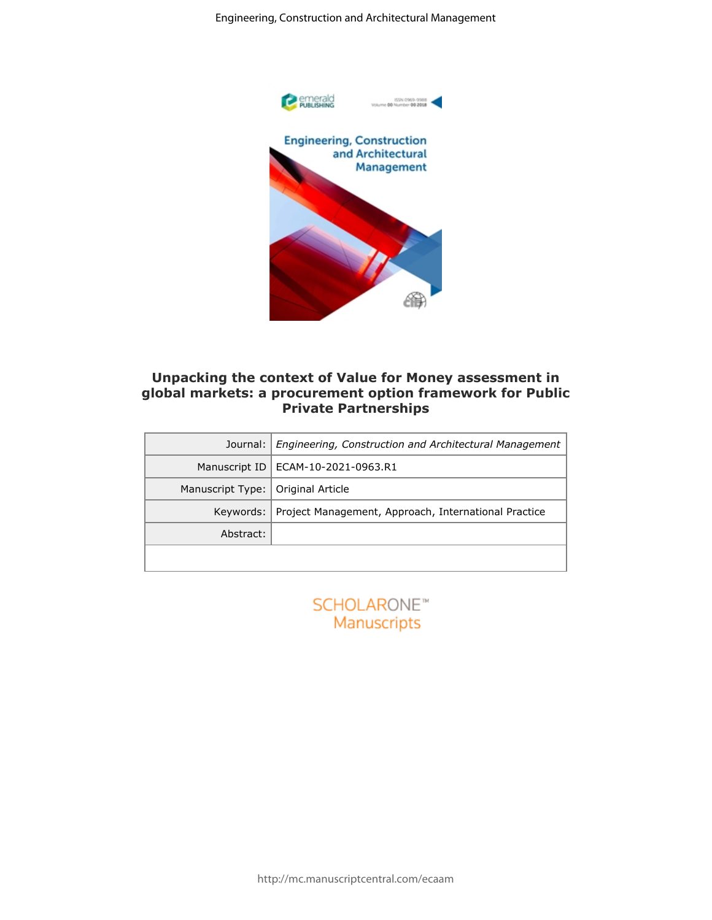

## **Unpacking the context of Value for Money assessment in global markets: a procurement option framework for Public Private Partnerships**

|                  | Engineering, Construction and Architectural Management                                                              |
|------------------|---------------------------------------------------------------------------------------------------------------------|
|                  | Pemerald<br>Publishing<br>ISSN 0969-9988<br>Volume 00 Number 00 2018                                                |
|                  | <b>Engineering, Construction</b><br>and Architectural<br>Management                                                 |
|                  |                                                                                                                     |
|                  | Unpacking the context of Value for Money assessment in<br>global markets: a procurement option framework for Public |
|                  | <b>Private Partnerships</b>                                                                                         |
| Journal:         | Engineering, Construction and Architectural Management                                                              |
| Manuscript ID    | ECAM-10-2021-0963.R1                                                                                                |
| Manuscript Type: | Original Article                                                                                                    |
| Keywords:        | Project Management, Approach, International Practice                                                                |
| Abstract:        |                                                                                                                     |
|                  | <b>SCHOLARONE™</b><br>Manuscripts                                                                                   |
|                  |                                                                                                                     |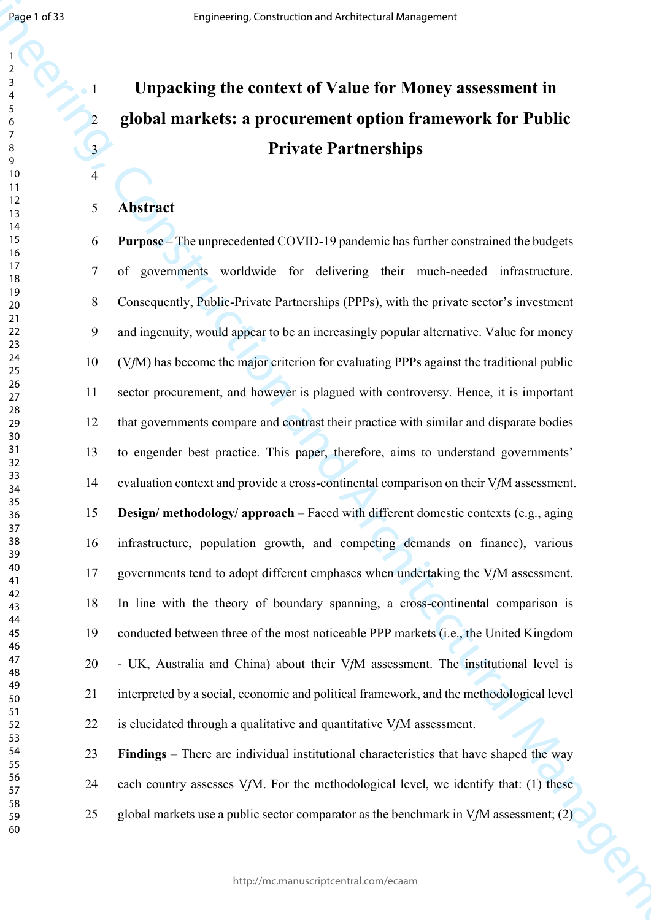# **Unpacking the context of Value for Money assessment in global markets: a procurement option framework for Public Private Partnerships**

## **Abstract**

Engine 1971<br>
1. **Unpacking the context of Value for Money assessment in**<br>
2. **global markets: a procurrence option framework for Public<br>
2. <b>global markets: a procurrence option framework for Public<br>
2. <b>a**<br>
2. **a**<br>
2. **a Purpose** – The unprecedented COVID-19 pandemic has further constrained the budgets 7 of governments worldwide for delivering their much-needed infrastructure. 8 Consequently, Public-Private Partnerships (PPPs), with the private sector's investment 9 and ingenuity, would appear to be an increasingly popular alternative. Value for money 10 (V*f*M) has become the major criterion for evaluating PPPs against the traditional public 11 sector procurement, and however is plagued with controversy. Hence, it is important 12 that governments compare and contrast their practice with similar and disparate bodies 13 to engender best practice. This paper, therefore, aims to understand governments' 14 evaluation context and provide a cross-continental comparison on their V*f*M assessment. **Design/ methodology/ approach** – Faced with different domestic contexts (e.g., aging 16 infrastructure, population growth, and competing demands on finance), various 17 governments tend to adopt different emphases when undertaking the V*f*M assessment. 18 In line with the theory of boundary spanning, a cross-continental comparison is 19 conducted between three of the most noticeable PPP markets (i.e., the United Kingdom 20 - UK, Australia and China) about their V*f*M assessment. The institutional level is 21 interpreted by a social, economic and political framework, and the methodological level 22 is elucidated through a qualitative and quantitative V*f*M assessment.

**Findings** – There are individual institutional characteristics that have shaped the way

- 24 each country assesses V*f*M. For the methodological level, we identify that: (1) these
- 25 global markets use a public sector comparator as the benchmark in V*f*M assessment; (2)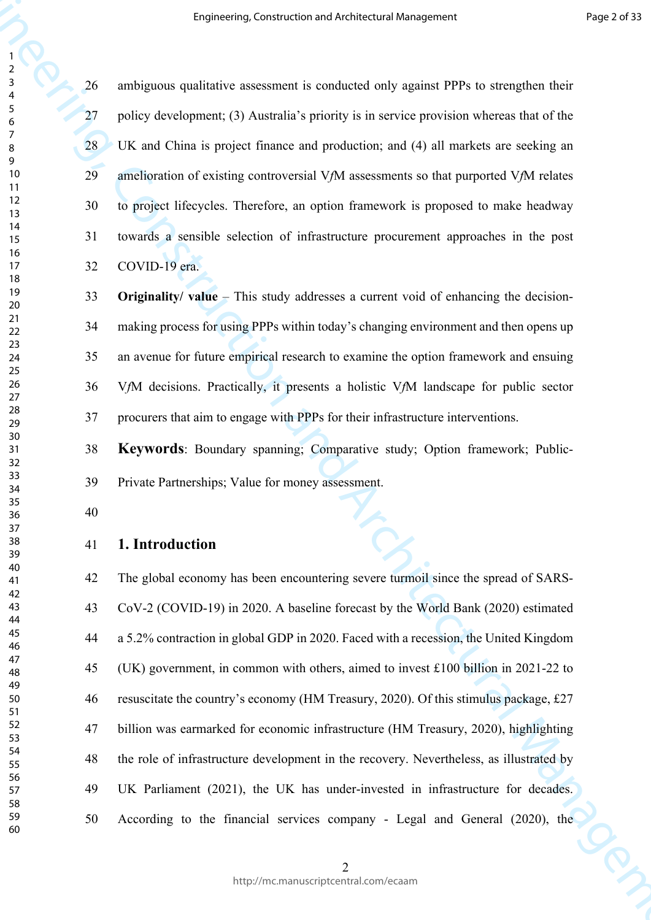26 ambiguous qualitative assessment is conducted only against PPPs to strengthen their 27 policy development; (3) Australia's priority is in service provision whereas that of the 28 UK and China is project finance and production; and (4) all markets are seeking an 29 amelioration of existing controversial V*f*M assessments so that purported V*f*M relates 30 to project lifecycles. Therefore, an option framework is proposed to make headway 31 towards a sensible selection of infrastructure procurement approaches in the post 32 COVID-19 era.

 **Originality/ value** – This study addresses a current void of enhancing the decision-34 making process for using PPPs within today's changing environment and then opens up 35 an avenue for future empirical research to examine the option framework and ensuing 36 V*f*M decisions. Practically, it presents a holistic V*f*M landscape for public sector 37 procurers that aim to engage with PPPs for their infrastructure interventions.

 **Keywords**: Boundary spanning; Comparative study; Option framework; Public-39 Private Partnerships; Value for money assessment.

## **1. Introduction**

**Engineering, Construction and Architectural Management**<br>  $\frac{1}{2}$ <br>  $\frac{1}{2}$ <br>  $\frac{1}{2}$ <br>  $\frac{1}{2}$ <br>  $\frac{1}{2}$ <br>  $\frac{1}{2}$ <br>  $\frac{1}{2}$ <br>  $\frac{1}{2}$ <br>  $\frac{1}{2}$ <br>  $\frac{1}{2}$ <br>  $\frac{1}{2}$ <br>  $\frac{1}{2}$ <br>  $\frac{1}{2}$ <br>  $\frac{1}{2}$ <br>  $\frac{1}{2}$ 42 The global economy has been encountering severe turmoil since the spread of SARS-43 CoV-2 (COVID-19) in 2020. A baseline forecast by the World Bank (2020) estimated 44 a 5.2% contraction in global GDP in 2020. Faced with a recession, the United Kingdom 45 (UK) government, in common with others, aimed to invest £100 billion in 2021-22 to 46 resuscitate the country's economy (HM Treasury, 2020). Of this stimulus package, £27 47 billion was earmarked for economic infrastructure (HM Treasury, 2020), highlighting 48 the role of infrastructure development in the recovery. Nevertheless, as illustrated by 49 UK Parliament (2021), the UK has under-invested in infrastructure for decades. 50 According to the financial services company - Legal and General (2020), the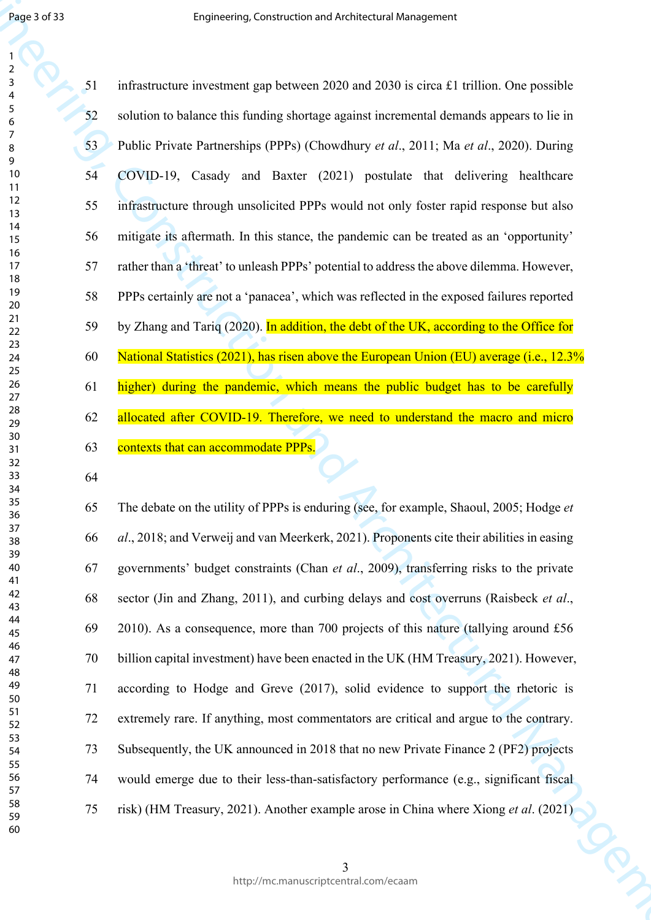Engine and the constraint of the constraint of the constraint of the constraint of the constraint of the construction  $\frac{1}{2}$ <br>  $\frac{1}{2}$ <br>  $\frac{1}{2}$ <br>  $\frac{1}{2}$ <br>  $\frac{1}{2}$ <br>  $\frac{1}{2}$ <br>  $\frac{1}{2}$ <br>  $\frac{1}{2}$ <br>  $\frac{1}{2}$ <br>  $\frac{$ 51 infrastructure investment gap between 2020 and 2030 is circa £1 trillion. One possible 52 solution to balance this funding shortage against incremental demands appears to lie in 53 Public Private Partnerships (PPPs) (Chowdhury *et al*., 2011; Ma *et al*., 2020). During 54 COVID-19, Casady and Baxter (2021) postulate that delivering healthcare 55 infrastructure through unsolicited PPPs would not only foster rapid response but also 56 mitigate its aftermath. In this stance, the pandemic can be treated as an 'opportunity' 57 rather than a 'threat' to unleash PPPs' potential to address the above dilemma. However, 58 PPPs certainly are not a 'panacea', which was reflected in the exposed failures reported 59 by Zhang and Tariq (2020). In addition, the debt of the UK, according to the Office for 60 National Statistics (2021), has risen above the European Union (EU) average (i.e., 12.3% 61 higher) during the pandemic, which means the public budget has to be carefully 62 allocated after COVID-19. Therefore, we need to understand the macro and micro 63 contexts that can accommodate PPPs.

65 The debate on the utility of PPPs is enduring (see, for example, Shaoul, 2005; Hodge *et al*., 2018; and Verweij and van Meerkerk, 2021). Proponents cite their abilities in easing 67 governments' budget constraints (Chan *et al*., 2009), transferring risks to the private 68 sector (Jin and Zhang, 2011), and curbing delays and cost overruns (Raisbeck *et al*., 69 2010). As a consequence, more than 700 projects of this nature (tallying around £56 70 billion capital investment) have been enacted in the UK (HM Treasury, 2021). However, 71 according to Hodge and Greve (2017), solid evidence to support the rhetoric is 72 extremely rare. If anything, most commentators are critical and argue to the contrary. 73 Subsequently, the UK announced in 2018 that no new Private Finance 2 (PF2) projects 74 would emerge due to their less-than-satisfactory performance (e.g., significant fiscal 75 risk) (HM Treasury, 2021). Another example arose in China where Xiong *et al*. (2021)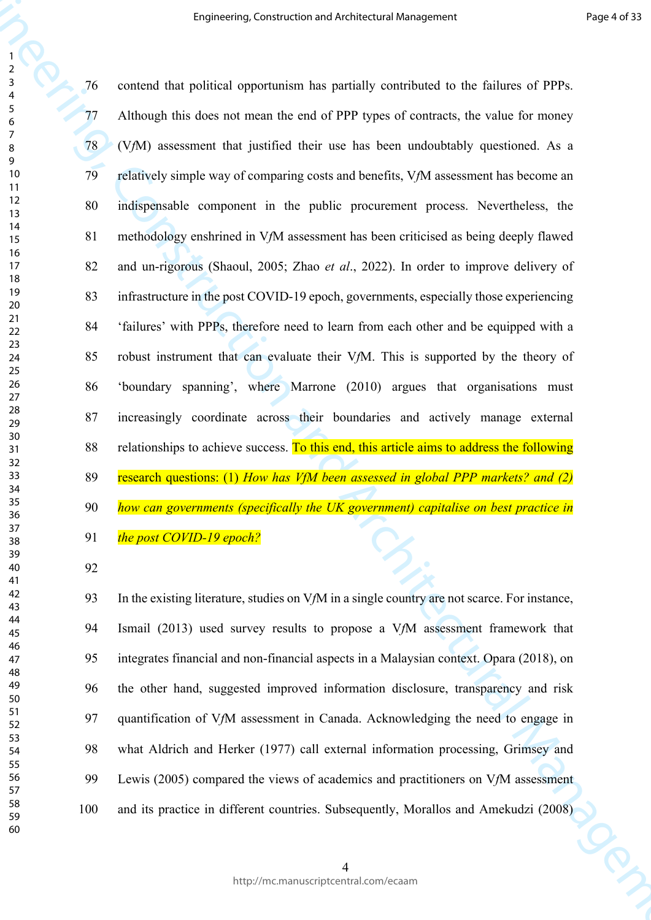**Engineering Construction and Architectural Management** Properties (PPP).<br>
The constraint that construction and particular properties in the following of PPP).<br>
The Architectural Management from the end of PPP pper of con 76 contend that political opportunism has partially contributed to the failures of PPPs. 77 Although this does not mean the end of PPP types of contracts, the value for money 78 (V*f*M) assessment that justified their use has been undoubtably questioned. As a 79 relatively simple way of comparing costs and benefits, V*f*M assessment has become an 80 indispensable component in the public procurement process. Nevertheless, the 81 methodology enshrined in V*f*M assessment has been criticised as being deeply flawed 82 and un-rigorous (Shaoul, 2005; Zhao *et al*., 2022). In order to improve delivery of 83 infrastructure in the post COVID-19 epoch, governments, especially those experiencing 84 'failures' with PPPs, therefore need to learn from each other and be equipped with a 85 robust instrument that can evaluate their V*f*M. This is supported by the theory of 86 'boundary spanning', where Marrone (2010) argues that organisations must 87 increasingly coordinate across their boundaries and actively manage external 88 relationships to achieve success. To this end, this article aims to address the following 89 research questions: (1) *How has VfM been assessed in global PPP markets? and (2) how can governments (specifically the UK government) capitalise on best practice in the post COVID-19 epoch?*

93 In the existing literature, studies on V*f*M in a single country are not scarce. For instance, 94 Ismail (2013) used survey results to propose a V*f*M assessment framework that 95 integrates financial and non-financial aspects in a Malaysian context. Opara (2018), on 96 the other hand, suggested improved information disclosure, transparency and risk 97 quantification of V*f*M assessment in Canada. Acknowledging the need to engage in 98 what Aldrich and Herker (1977) call external information processing, Grimsey and 99 Lewis (2005) compared the views of academics and practitioners on V*f*M assessment 100 and its practice in different countries. Subsequently, Morallos and Amekudzi (2008)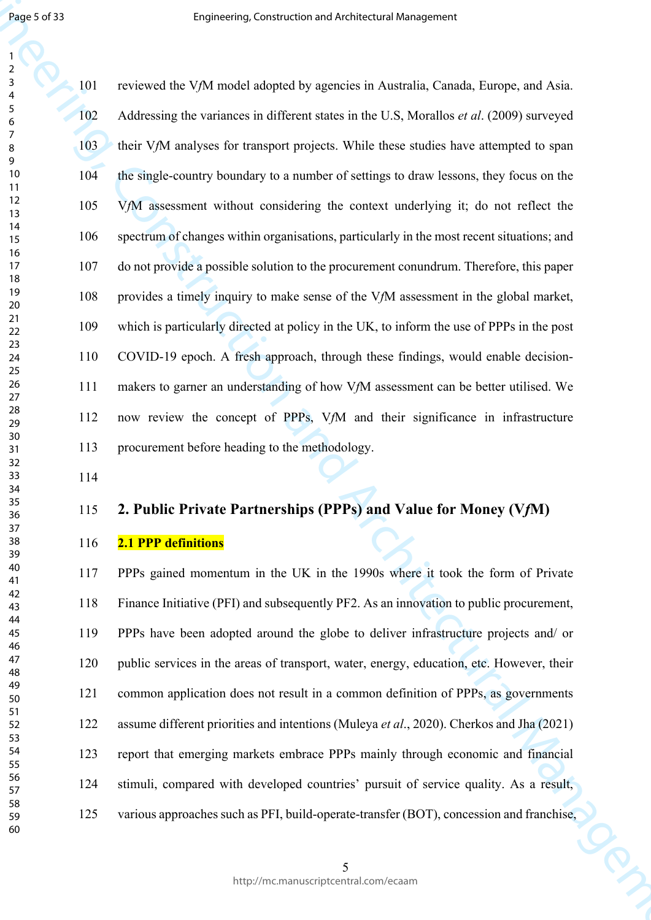Engineering, Construction and Architectural Management and Architectural Management and Architectural Management and Architectural Management and Architectural Management and Architectural Management and Architectural Man 101 reviewed the V*f*M model adopted by agencies in Australia, Canada, Europe, and Asia. 102 Addressing the variances in different states in the U.S, Morallos *et al*. (2009) surveyed 103 their VfM analyses for transport projects. While these studies have attempted to span 104 the single-country boundary to a number of settings to draw lessons, they focus on the 105 V*f*M assessment without considering the context underlying it; do not reflect the 106 spectrum of changes within organisations, particularly in the most recent situations; and 107 do not provide a possible solution to the procurement conundrum. Therefore, this paper 108 provides a timely inquiry to make sense of the V*f*M assessment in the global market, 109 which is particularly directed at policy in the UK, to inform the use of PPPs in the post 110 COVID-19 epoch. A fresh approach, through these findings, would enable decision-111 makers to garner an understanding of how V*f*M assessment can be better utilised. We 112 now review the concept of PPPs, V*f*M and their significance in infrastructure 113 procurement before heading to the methodology.

# **2. Public Private Partnerships (PPPs) and Value for Money (V***f***M)**

## **2.1 PPP definitions**

117 PPPs gained momentum in the UK in the 1990s where it took the form of Private 118 Finance Initiative (PFI) and subsequently PF2. As an innovation to public procurement, 119 PPPs have been adopted around the globe to deliver infrastructure projects and/ or 120 public services in the areas of transport, water, energy, education, etc. However, their 121 common application does not result in a common definition of PPPs, as governments 122 assume different priorities and intentions (Muleya *et al*., 2020). Cherkos and Jha (2021) 123 report that emerging markets embrace PPPs mainly through economic and financial 124 stimuli, compared with developed countries' pursuit of service quality. As a result, 125 various approaches such as PFI, build-operate-transfer (BOT), concession and franchise,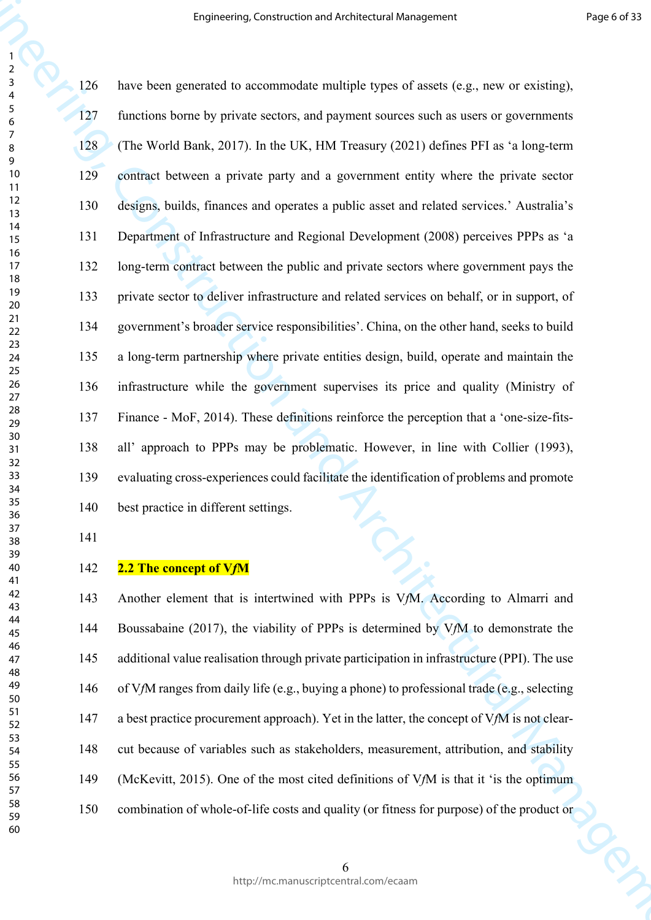**Engineering, Construction and Architectural Management**<br>  $\frac{1}{2}$ <br>  $\frac{1}{2}$ <br>  $\frac{1}{2}$ <br>  $\frac{1}{2}$ <br>  $\frac{1}{2}$ <br>  $\frac{1}{2}$ <br>  $\frac{1}{2}$ <br>  $\frac{1}{2}$ <br>  $\frac{1}{2}$ <br>  $\frac{1}{2}$ <br>  $\frac{1}{2}$ <br>  $\frac{1}{2}$ <br>  $\frac{1}{2}$ <br>  $\frac{1}{2}$ <br>  $\frac{1}{2}$ 126 have been generated to accommodate multiple types of assets (e.g., new or existing), 127 functions borne by private sectors, and payment sources such as users or governments 128 (The World Bank, 2017). In the UK, HM Treasury (2021) defines PFI as 'a long-term 129 contract between a private party and a government entity where the private sector 130 designs, builds, finances and operates a public asset and related services.' Australia's 131 Department of Infrastructure and Regional Development (2008) perceives PPPs as 'a 132 long-term contract between the public and private sectors where government pays the 133 private sector to deliver infrastructure and related services on behalf, or in support, of 134 government's broader service responsibilities'. China, on the other hand, seeks to build 135 a long-term partnership where private entities design, build, operate and maintain the 136 infrastructure while the government supervises its price and quality (Ministry of 137 Finance - MoF, 2014). These definitions reinforce the perception that a 'one-size-fits-138 all' approach to PPPs may be problematic. However, in line with Collier (1993), 139 evaluating cross-experiences could facilitate the identification of problems and promote 140 best practice in different settings.

#### **2.2 The concept of V***f***M**

143 Another element that is intertwined with PPPs is V*f*M. According to Almarri and 144 Boussabaine (2017), the viability of PPPs is determined by V*f*M to demonstrate the 145 additional value realisation through private participation in infrastructure (PPI). The use 146 of V*f*M ranges from daily life (e.g., buying a phone) to professional trade (e.g., selecting 147 a best practice procurement approach). Yet in the latter, the concept of V*f*M is not clear-148 cut because of variables such as stakeholders, measurement, attribution, and stability 149 (McKevitt, 2015). One of the most cited definitions of V*f*M is that it 'is the optimum 150 combination of whole-of-life costs and quality (or fitness for purpose) of the product or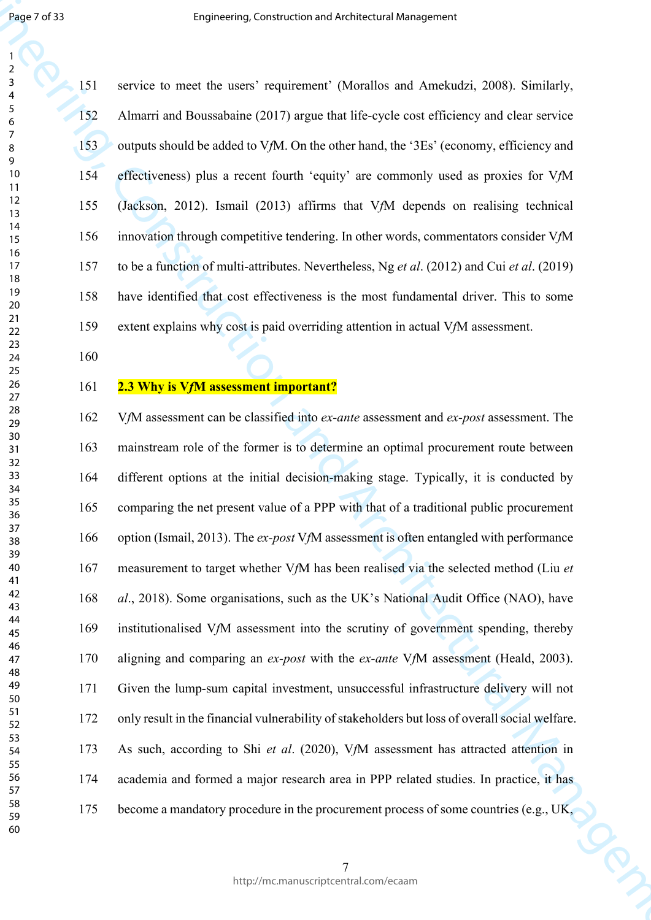151 service to meet the users' requirement' (Morallos and Amekudzi, 2008). Similarly, 152 Almarri and Boussabaine (2017) argue that life-cycle cost efficiency and clear service 153 outputs should be added to V*f*M. On the other hand, the '3Es' (economy, efficiency and 154 effectiveness) plus a recent fourth 'equity' are commonly used as proxies for V*f*M 155 (Jackson, 2012). Ismail (2013) affirms that V*f*M depends on realising technical 156 innovation through competitive tendering. In other words, commentators consider V*f*M 157 to be a function of multi-attributes. Nevertheless, Ng *et al*. (2012) and Cui *et al*. (2019) 158 have identified that cost effectiveness is the most fundamental driver. This to some 159 extent explains why cost is paid overriding attention in actual V*f*M assessment.

## **2.3 Why is V***f***M assessment important?**

Engineering, Construction and Architectural Management<br>
1. Sometime is need the susses requirement (Memilies and Arabstadt), 2008). Similarly,<br>
1. Sometime in the state of the susses requirement (Memilies and Architectura 162 V*f*M assessment can be classified into *ex-ante* assessment and *ex-post* assessment. The 163 mainstream role of the former is to determine an optimal procurement route between 164 different options at the initial decision-making stage. Typically, it is conducted by 165 comparing the net present value of a PPP with that of a traditional public procurement 166 option (Ismail, 2013). The *ex-post* V*f*M assessment is often entangled with performance 167 measurement to target whether V*f*M has been realised via the selected method (Liu *et al*., 2018). Some organisations, such as the UK's National Audit Office (NAO), have 169 institutionalised V*f*M assessment into the scrutiny of government spending, thereby 170 aligning and comparing an *ex-post* with the *ex-ante* V*f*M assessment (Heald, 2003). 171 Given the lump-sum capital investment, unsuccessful infrastructure delivery will not 172 only result in the financial vulnerability of stakeholders but loss of overall social welfare. 173 As such, according to Shi *et al*. (2020), V*f*M assessment has attracted attention in 174 academia and formed a major research area in PPP related studies. In practice, it has 175 become a mandatory procedure in the procurement process of some countries (e.g., UK,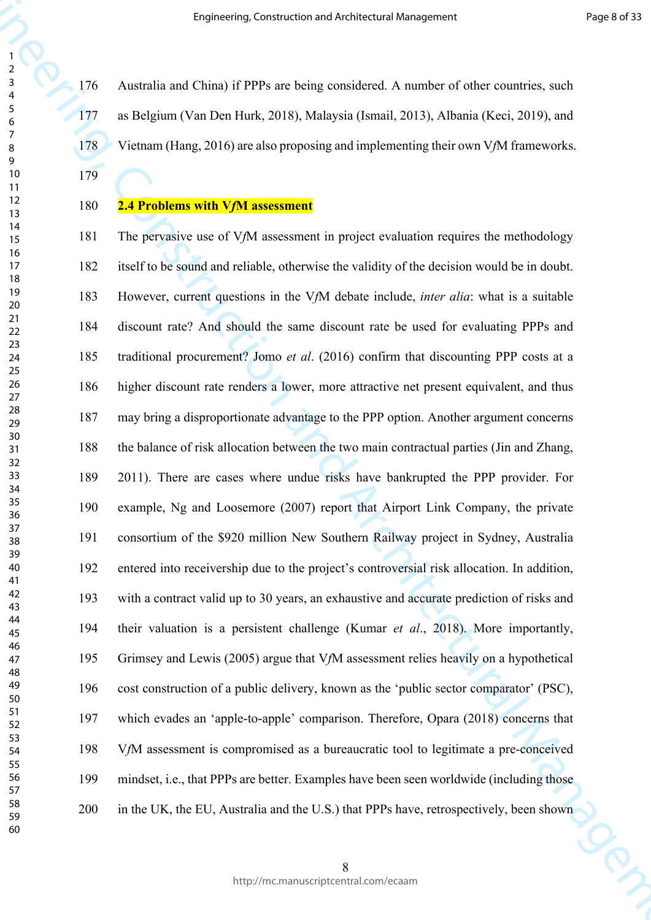176 Australia and China) if PPPs are being considered. A number of other countries, such 177 as Belgium (Van Den Hurk, 2018), Malaysia (Ismail, 2013), Albania (Keci, 2019), and 178 Vietnam (Hang, 2016) are also proposing and implementing their own V*f*M frameworks.

## **2.4 Problems with V***f***M assessment**

**Engineering, Construction and Architectural Management**<br>
Fig. 2.06 Anomalis and China) if PPPs are being considered. A number of other construction, and<br>  $\frac{2}{3}$  and Register (Ves Die Finds, 2018), Malaysia (Trend, 201 181 The pervasive use of V*f*M assessment in project evaluation requires the methodology 182 itself to be sound and reliable, otherwise the validity of the decision would be in doubt. 183 However, current questions in the V*f*M debate include, *inter alia*: what is a suitable 184 discount rate? And should the same discount rate be used for evaluating PPPs and 185 traditional procurement? Jomo *et al*. (2016) confirm that discounting PPP costs at a 186 higher discount rate renders a lower, more attractive net present equivalent, and thus 187 may bring a disproportionate advantage to the PPP option. Another argument concerns 188 the balance of risk allocation between the two main contractual parties (Jin and Zhang, 189 2011). There are cases where undue risks have bankrupted the PPP provider. For 190 example, Ng and Loosemore (2007) report that Airport Link Company, the private 191 consortium of the \$920 million New Southern Railway project in Sydney, Australia 192 entered into receivership due to the project's controversial risk allocation. In addition, 193 with a contract valid up to 30 years, an exhaustive and accurate prediction of risks and 194 their valuation is a persistent challenge (Kumar *et al*., 2018). More importantly, 195 Grimsey and Lewis (2005) argue that V*f*M assessment relies heavily on a hypothetical 196 cost construction of a public delivery, known as the 'public sector comparator' (PSC), 197 which evades an 'apple-to-apple' comparison. Therefore, Opara (2018) concerns that 198 V*f*M assessment is compromised as a bureaucratic tool to legitimate a pre-conceived 199 mindset, i.e., that PPPs are better. Examples have been seen worldwide (including those 200 in the UK, the EU, Australia and the U.S.) that PPPs have, retrospectively, been shown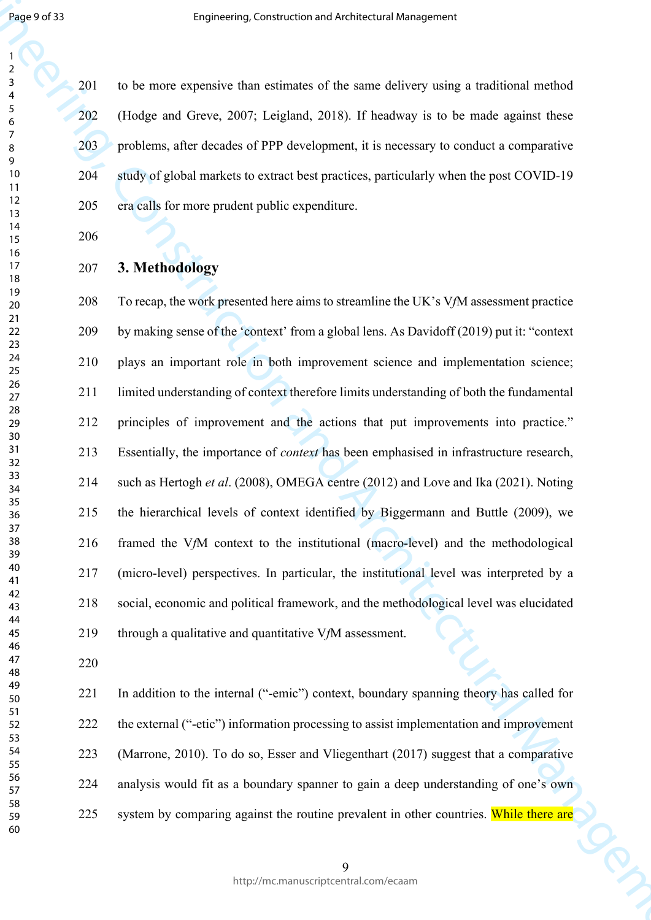201 to be more expensive than estimates of the same delivery using a traditional method 202 (Hodge and Greve, 2007; Leigland, 2018). If headway is to be made against these 203 problems, after decades of PPP development, it is necessary to conduct a comparative 204 study of global markets to extract best practices, particularly when the post COVID-19 205 era calls for more prudent public expenditure.

## **3. Methodology**

Engineering, Construction and Architectural methods on the file of the state of the state of the state of the state of the state of the state of the state of the state of the state of the basis of the state of the file of 208 To recap, the work presented here aims to streamline the UK's V*f*M assessment practice 209 by making sense of the 'context' from a global lens. As Davidoff (2019) put it: "context 210 plays an important role in both improvement science and implementation science; 211 limited understanding of context therefore limits understanding of both the fundamental 212 principles of improvement and the actions that put improvements into practice." 213 Essentially, the importance of *context* has been emphasised in infrastructure research, 214 such as Hertogh *et al*. (2008), OMEGA centre (2012) and Love and Ika (2021). Noting 215 the hierarchical levels of context identified by Biggermann and Buttle (2009), we 216 framed the V*f*M context to the institutional (macro-level) and the methodological 217 (micro-level) perspectives. In particular, the institutional level was interpreted by a 218 social, economic and political framework, and the methodological level was elucidated 219 through a qualitative and quantitative V*f*M assessment.

221 In addition to the internal ("-emic") context, boundary spanning theory has called for 222 the external ("-etic") information processing to assist implementation and improvement 223 (Marrone, 2010). To do so, Esser and Vliegenthart (2017) suggest that a comparative 224 analysis would fit as a boundary spanner to gain a deep understanding of one's own 225 system by comparing against the routine prevalent in other countries. While there are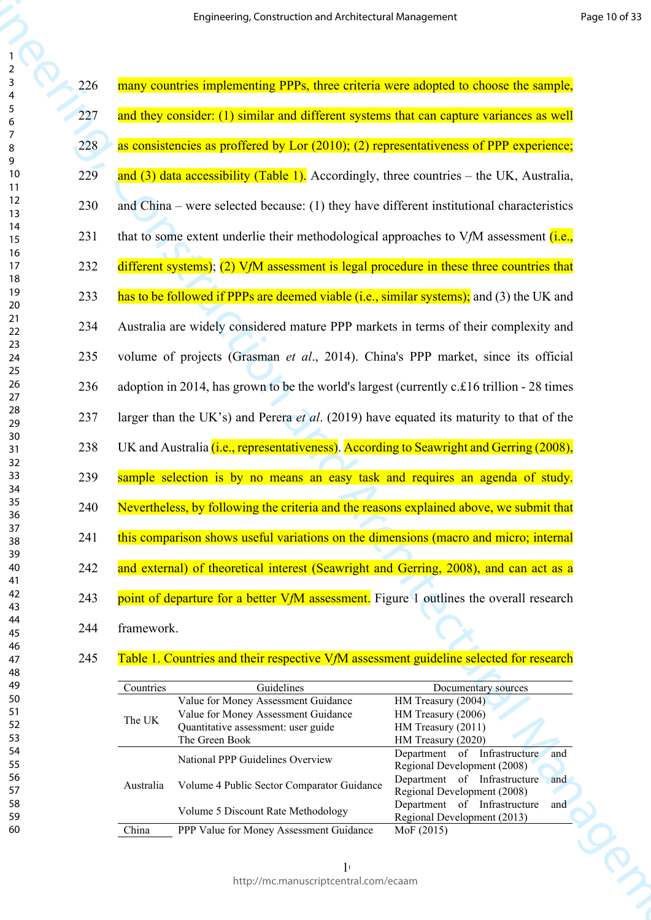|                   | Engineering, Construction and Architectural Management                                      |                                                                    |  |  |  |
|-------------------|---------------------------------------------------------------------------------------------|--------------------------------------------------------------------|--|--|--|
| 226               | many countries implementing PPPs, three criteria were adopted to choose the sample,         |                                                                    |  |  |  |
| 227               | and they consider: (1) similar and different systems that can capture variances as well     |                                                                    |  |  |  |
| 228               | as consistencies as proffered by Lor (2010); (2) representativeness of PPP experience;      |                                                                    |  |  |  |
| 229               | and $(3)$ data accessibility (Table 1). Accordingly, three countries – the UK, Australia,   |                                                                    |  |  |  |
| 230               | and China – were selected because: $(1)$ they have different institutional characteristics  |                                                                    |  |  |  |
| 231               | that to some extent underlie their methodological approaches to $V/M$ assessment (i.e.,     |                                                                    |  |  |  |
| 232               | different systems); (2) $V_fM$ assessment is legal procedure in these three countries that  |                                                                    |  |  |  |
| 233               | has to be followed if PPPs are deemed viable (i.e., similar systems); and (3) the UK and    |                                                                    |  |  |  |
| 234               | Australia are widely considered mature PPP markets in terms of their complexity and         |                                                                    |  |  |  |
| 235               | volume of projects (Grasman et al., 2014). China's PPP market, since its official           |                                                                    |  |  |  |
| 236               | adoption in 2014, has grown to be the world's largest (currently c. £16 trillion - 28 times |                                                                    |  |  |  |
| 237               | larger than the UK's) and Perera et al. (2019) have equated its maturity to that of the     |                                                                    |  |  |  |
| 238               | UK and Australia (i.e., representativeness). According to Seawright and Gerring (2008),     |                                                                    |  |  |  |
| 239               | sample selection is by no means an easy task and requires an agenda of study.               |                                                                    |  |  |  |
| 240               | Nevertheless, by following the criteria and the reasons explained above, we submit that     |                                                                    |  |  |  |
| 241               | this comparison shows useful variations on the dimensions (macro and micro; internal        |                                                                    |  |  |  |
| 242               | and external) of theoretical interest (Seawright and Gerring, 2008), and can act as a       |                                                                    |  |  |  |
| 243               | point of departure for a better VfM assessment. Figure 1 outlines the overall research      |                                                                    |  |  |  |
| framework.<br>244 |                                                                                             |                                                                    |  |  |  |
| 245               | Table 1. Countries and their respective VfM assessment guideline selected for research      |                                                                    |  |  |  |
| Countries         | Guidelines<br>Value for Money Assessment Guidance                                           | Documentary sources<br>HM Treasury (2004)                          |  |  |  |
| The UK            | Value for Money Assessment Guidance<br>Quantitative assessment: user guide                  | HM Treasury (2006)<br>HM Treasury (2011)                           |  |  |  |
|                   | The Green Book                                                                              | HM Treasury (2020)<br>Department of Infrastructure<br>and          |  |  |  |
|                   | National PPP Guidelines Overview                                                            | Regional Development (2008)<br>Department of Infrastructure<br>and |  |  |  |
| Australia         | Volume 4 Public Sector Comparator Guidance<br>Volume 5 Discount Rate Methodology            | Regional Development (2008)<br>Department of Infrastructure<br>and |  |  |  |
| China             | PPP Value for Money Assessment Guidance                                                     | Regional Development (2013)<br>MoF (2015)                          |  |  |  |
|                   | $\mathbf{1}$                                                                                |                                                                    |  |  |  |

## 245 Table 1. Countries and their respective V*f*M assessment guideline selected for research

| Countries | Guidelines                                 | Documentary sources                 |
|-----------|--------------------------------------------|-------------------------------------|
|           | Value for Money Assessment Guidance        | HM Treasury (2004)                  |
| The UK    | Value for Money Assessment Guidance        | HM Treasury (2006)                  |
|           | Quantitative assessment: user guide        | HM Treasury (2011)                  |
|           | The Green Book                             | HM Treasury (2020)                  |
|           | National PPP Guidelines Overview           | and<br>Department of Infrastructure |
|           |                                            | Regional Development (2008)         |
| Australia | Volume 4 Public Sector Comparator Guidance | Department of Infrastructure<br>and |
|           |                                            | Regional Development (2008)         |
|           | Volume 5 Discount Rate Methodology         | Department of Infrastructure<br>and |
|           |                                            | Regional Development (2013)         |
| China     | PPP Value for Money Assessment Guidance    | Mof (2015)                          |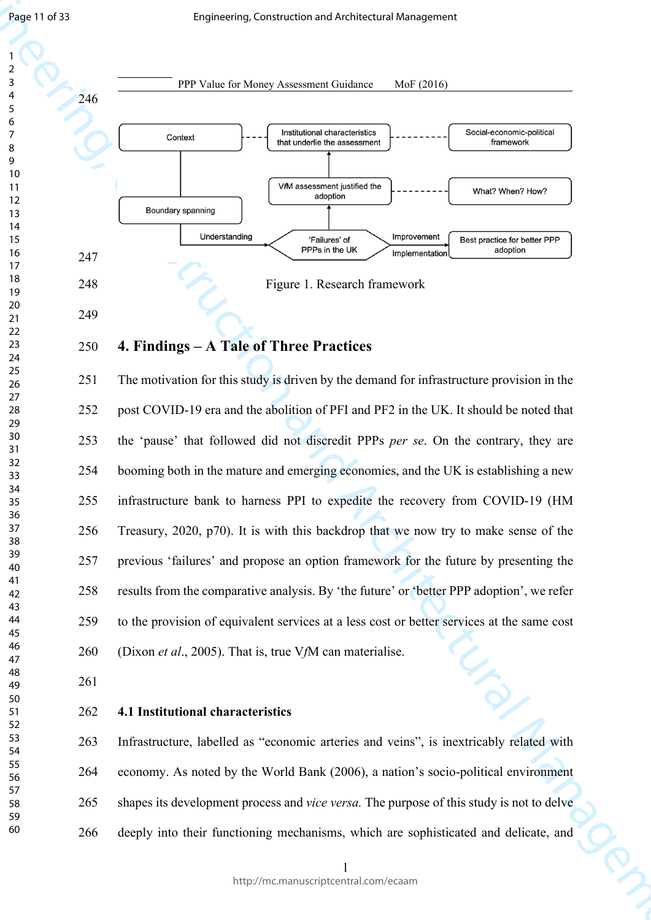

# **4. Findings – A Tale of Three Practices**

251 The motivation for this study is driven by the demand for infrastructure provision in the 252 post COVID-19 era and the abolition of PFI and PF2 in the UK. It should be noted that 253 the 'pause' that followed did not discredit PPPs *per se*. On the contrary, they are 254 booming both in the mature and emerging economies, and the UK is establishing a new 255 infrastructure bank to harness PPI to expedite the recovery from COVID-19 (HM 256 Treasury, 2020, p70). It is with this backdrop that we now try to make sense of the 257 previous 'failures' and propose an option framework for the future by presenting the 258 results from the comparative analysis. By 'the future' or 'better PPP adoption', we refer 259 to the provision of equivalent services at a less cost or better services at the same cost 260 (Dixon *et al*., 2005). That is, true V*f*M can materialise.

## **4.1 Institutional characteristics**

263 Infrastructure, labelled as "economic arteries and veins", is inextricably related with 264 economy. As noted by the World Bank (2006), a nation's socio-political environment 265 shapes its development process and *vice versa.* The purpose of this study is not to delve 266 deeply into their functioning mechanisms, which are sophisticated and delicate, and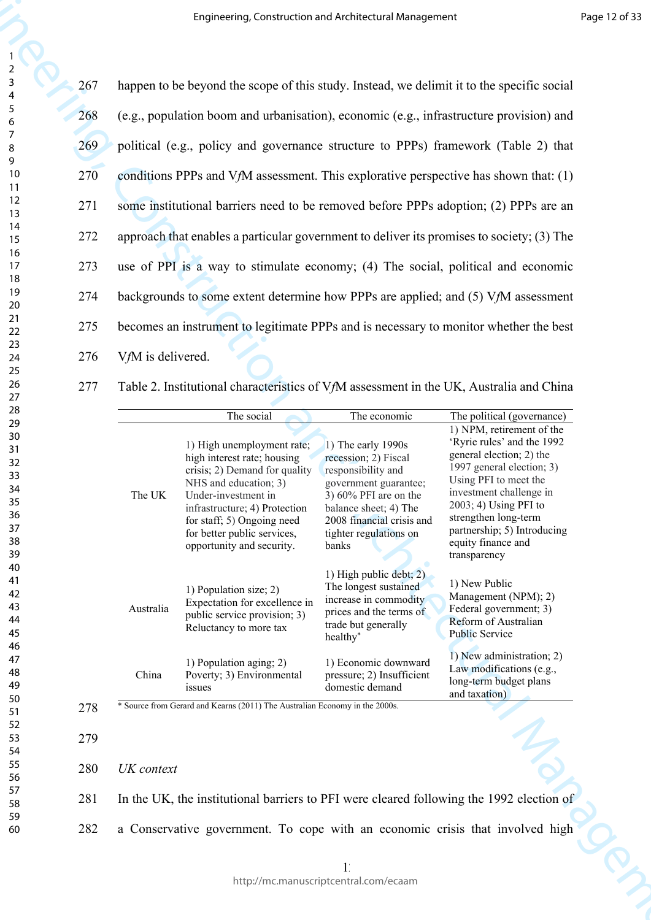277 Table 2. Institutional characteristics of V*f*M assessment in the UK, Australia and China

|                                                                |            |                   | Engineering, Construction and Architectural Management                                                                                                                                                                                                                |                                                                                                                                                                                                                |                                                                                                                                                                                                                                                                                            | Page 12 of 33               |  |
|----------------------------------------------------------------|------------|-------------------|-----------------------------------------------------------------------------------------------------------------------------------------------------------------------------------------------------------------------------------------------------------------------|----------------------------------------------------------------------------------------------------------------------------------------------------------------------------------------------------------------|--------------------------------------------------------------------------------------------------------------------------------------------------------------------------------------------------------------------------------------------------------------------------------------------|-----------------------------|--|
| $\overline{\mathbf{c}}$<br>$\mathsf{3}$                        | 267        |                   | happen to be beyond the scope of this study. Instead, we delimit it to the specific social                                                                                                                                                                            |                                                                                                                                                                                                                |                                                                                                                                                                                                                                                                                            |                             |  |
| 4<br>$\sqrt{5}$<br>$\boldsymbol{6}$                            | 268        |                   | (e.g., population boom and urbanisation), economic (e.g., infrastructure provision) and                                                                                                                                                                               |                                                                                                                                                                                                                |                                                                                                                                                                                                                                                                                            |                             |  |
| 7<br>$\,8\,$                                                   | 269        |                   | political (e.g., policy and governance structure to PPPs) framework (Table 2) that                                                                                                                                                                                    |                                                                                                                                                                                                                |                                                                                                                                                                                                                                                                                            |                             |  |
| 9<br>10                                                        | <b>270</b> |                   | conditions PPPs and V $f$ M assessment. This explorative perspective has shown that: (1)                                                                                                                                                                              |                                                                                                                                                                                                                |                                                                                                                                                                                                                                                                                            |                             |  |
| 11<br>12<br>13                                                 | 271        |                   | some institutional barriers need to be removed before PPPs adoption; (2) PPPs are an                                                                                                                                                                                  |                                                                                                                                                                                                                |                                                                                                                                                                                                                                                                                            |                             |  |
| 14<br>15                                                       | 272        |                   | approach that enables a particular government to deliver its promises to society; (3) The                                                                                                                                                                             |                                                                                                                                                                                                                |                                                                                                                                                                                                                                                                                            |                             |  |
| 16<br>17                                                       | 273        |                   | use of PPI is a way to stimulate economy; (4) The social, political and economic                                                                                                                                                                                      |                                                                                                                                                                                                                |                                                                                                                                                                                                                                                                                            |                             |  |
| 18<br>19                                                       | 274        |                   | backgrounds to some extent determine how PPPs are applied; and (5) VfM assessment                                                                                                                                                                                     |                                                                                                                                                                                                                |                                                                                                                                                                                                                                                                                            |                             |  |
| 20<br>21<br>22                                                 | 275        |                   | becomes an instrument to legitimate PPPs and is necessary to monitor whether the best                                                                                                                                                                                 |                                                                                                                                                                                                                |                                                                                                                                                                                                                                                                                            |                             |  |
| 23<br>24                                                       | 276        | VfM is delivered. |                                                                                                                                                                                                                                                                       |                                                                                                                                                                                                                |                                                                                                                                                                                                                                                                                            |                             |  |
| 25<br>26                                                       | 277        |                   | Table 2. Institutional characteristics of VfM assessment in the UK, Australia and China                                                                                                                                                                               |                                                                                                                                                                                                                |                                                                                                                                                                                                                                                                                            |                             |  |
| 27<br>28                                                       |            |                   | The social                                                                                                                                                                                                                                                            | The economic                                                                                                                                                                                                   | The political (governance)                                                                                                                                                                                                                                                                 |                             |  |
| 29<br>30<br>31<br>32<br>33<br>34<br>35<br>36<br>37<br>38<br>39 |            | The UK            | 1) High unemployment rate;<br>high interest rate; housing<br>crisis; 2) Demand for quality<br>NHS and education; 3)<br>Under-investment in<br>infrastructure; 4) Protection<br>for staff; 5) Ongoing need<br>for better public services,<br>opportunity and security. | 1) The early 1990s<br>recession; 2) Fiscal<br>responsibility and<br>government guarantee;<br>3) $60\%$ PFI are on the<br>balance sheet; 4) The<br>2008 financial crisis and<br>tighter regulations on<br>banks | 1) NPM, retirement of the<br>'Ryrie rules' and the 1992<br>general election; 2) the<br>1997 general election; 3)<br>Using PFI to meet the<br>investment challenge in<br>2003; 4) Using PFI to<br>strengthen long-term<br>partnership; 5) Introducing<br>equity finance and<br>transparency |                             |  |
| 40<br>41<br>42<br>43<br>44<br>45<br>46                         |            | Australia         | 1) Population size; 2)<br>Expectation for excellence in<br>public service provision; 3)<br>Reluctancy to more tax                                                                                                                                                     | 1) High public debt; 2)<br>The longest sustained<br>increase in commodity<br>prices and the terms of<br>trade but generally<br>healthy <sup>*</sup>                                                            | 1) New Public<br>Management (NPM); 2)<br>Federal government; 3)<br>Reform of Australian<br><b>Public Service</b>                                                                                                                                                                           |                             |  |
| 47<br>48<br>49                                                 |            | China             | 1) Population aging; 2)<br>Poverty; 3) Environmental<br><i>issues</i>                                                                                                                                                                                                 | 1) Economic downward<br>pressure; 2) Insufficient<br>domestic demand                                                                                                                                           | 1) New administration; 2)<br>Law modifications (e.g.,<br>long-term budget plans<br>and taxation)                                                                                                                                                                                           |                             |  |
| 50<br>51<br>52                                                 | 278        |                   | * Source from Gerard and Kearns (2011) The Australian Economy in the 2000s.                                                                                                                                                                                           |                                                                                                                                                                                                                |                                                                                                                                                                                                                                                                                            |                             |  |
| 53<br>54                                                       | 279        |                   |                                                                                                                                                                                                                                                                       |                                                                                                                                                                                                                |                                                                                                                                                                                                                                                                                            |                             |  |
| 55<br>56                                                       | 280        | UK context        |                                                                                                                                                                                                                                                                       |                                                                                                                                                                                                                |                                                                                                                                                                                                                                                                                            |                             |  |
| 57<br>58                                                       | 281        |                   | In the UK, the institutional barriers to PFI were cleared following the 1992 election of                                                                                                                                                                              |                                                                                                                                                                                                                |                                                                                                                                                                                                                                                                                            |                             |  |
| 59<br>60                                                       | 282        |                   | a Conservative government. To cope with an economic crisis that involved high                                                                                                                                                                                         |                                                                                                                                                                                                                |                                                                                                                                                                                                                                                                                            |                             |  |
|                                                                |            |                   |                                                                                                                                                                                                                                                                       |                                                                                                                                                                                                                |                                                                                                                                                                                                                                                                                            | $\mathcal{P}_{\mathcal{A}}$ |  |
|                                                                |            |                   |                                                                                                                                                                                                                                                                       | http://mc.manuscriptcentral.com/ecaam                                                                                                                                                                          |                                                                                                                                                                                                                                                                                            |                             |  |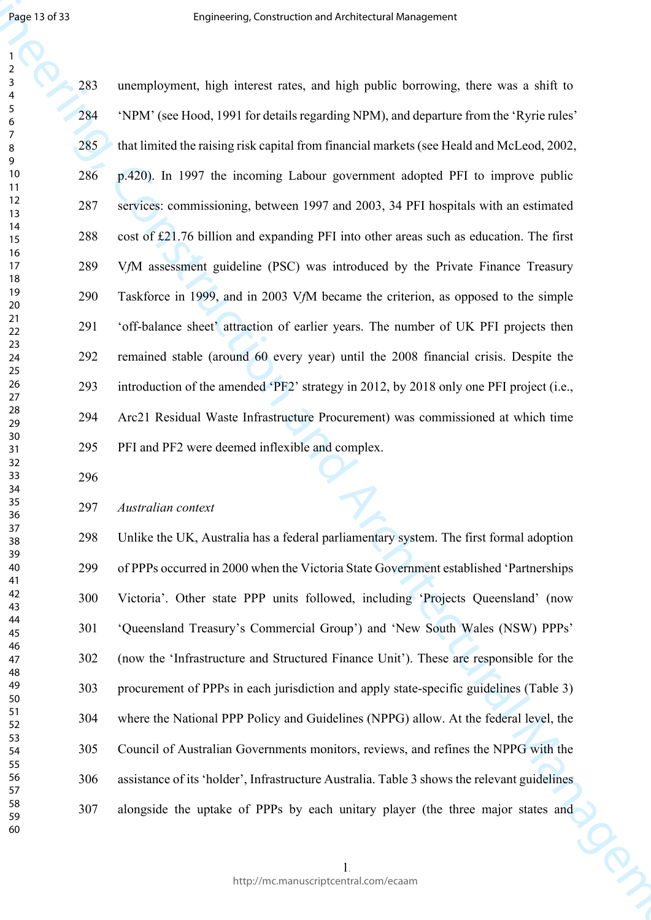Engine 1973<br>
Engine to the system of the constraint of the constraint of the system of the system of the system of the system of the system of the system of the system of the system of the system of the system of the syst 283 unemployment, high interest rates, and high public borrowing, there was a shift to 284 'NPM' (see Hood, 1991 for details regarding NPM), and departure from the 'Ryrie rules' 285 that limited the raising risk capital from financial markets (see Heald and McLeod, 2002, 286 p.420). In 1997 the incoming Labour government adopted PFI to improve public 287 services: commissioning, between 1997 and 2003, 34 PFI hospitals with an estimated 288 cost of £21.76 billion and expanding PFI into other areas such as education. The first 289 V*f*M assessment guideline (PSC) was introduced by the Private Finance Treasury 290 Taskforce in 1999, and in 2003 V*f*M became the criterion, as opposed to the simple 291 'off-balance sheet' attraction of earlier years. The number of UK PFI projects then 292 remained stable (around 60 every year) until the 2008 financial crisis. Despite the 293 introduction of the amended 'PF2' strategy in 2012, by 2018 only one PFI project (i.e., 294 Arc21 Residual Waste Infrastructure Procurement) was commissioned at which time 295 PFI and PF2 were deemed inflexible and complex.

## *Australian context*

298 Unlike the UK, Australia has a federal parliamentary system. The first formal adoption 299 of PPPs occurred in 2000 when the Victoria State Government established 'Partnerships 300 Victoria'. Other state PPP units followed, including 'Projects Queensland' (now 301 'Queensland Treasury's Commercial Group') and 'New South Wales (NSW) PPPs' 302 (now the 'Infrastructure and Structured Finance Unit'). These are responsible for the 303 procurement of PPPs in each jurisdiction and apply state-specific guidelines (Table 3) 304 where the National PPP Policy and Guidelines (NPPG) allow. At the federal level, the 305 Council of Australian Governments monitors, reviews, and refines the NPPG with the 306 assistance of its 'holder', Infrastructure Australia. Table 3 shows the relevant guidelines 307 alongside the uptake of PPPs by each unitary player (the three major states and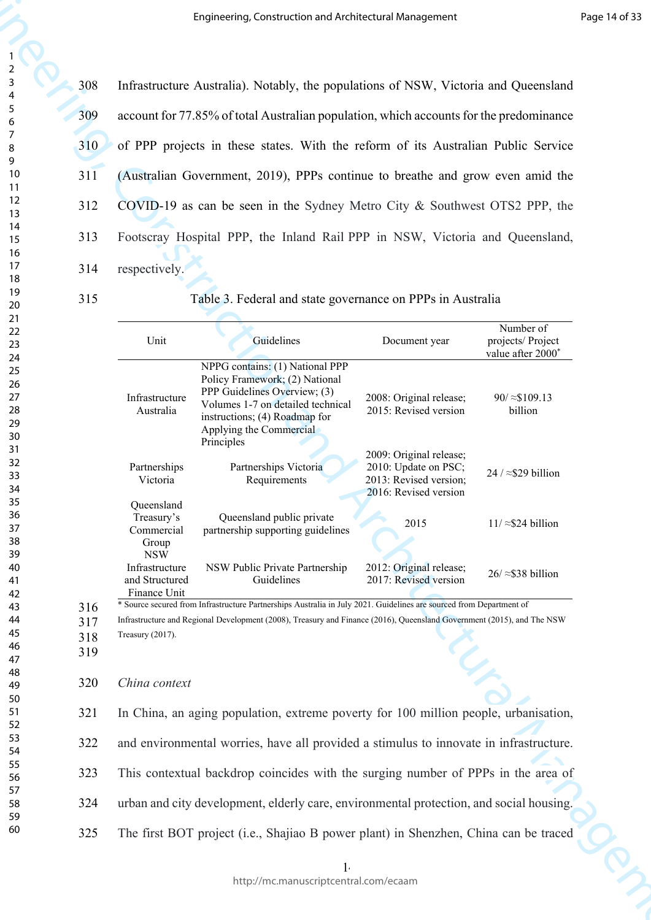|                                        |            |                                                                                         | Engineering, Construction and Architectural Management                                                                                                                                                                                        |                                                                                                    |                                                     | Page 14 of 33 |  |
|----------------------------------------|------------|-----------------------------------------------------------------------------------------|-----------------------------------------------------------------------------------------------------------------------------------------------------------------------------------------------------------------------------------------------|----------------------------------------------------------------------------------------------------|-----------------------------------------------------|---------------|--|
| $\overline{\mathbf{c}}$<br>3           | 308        |                                                                                         | Infrastructure Australia). Notably, the populations of NSW, Victoria and Queensland                                                                                                                                                           |                                                                                                    |                                                     |               |  |
| 4<br>$\sqrt{5}$<br>$\boldsymbol{6}$    | 309        |                                                                                         | account for 77.85% of total Australian population, which accounts for the predominance                                                                                                                                                        |                                                                                                    |                                                     |               |  |
| $\overline{7}$<br>8                    | 310        |                                                                                         | of PPP projects in these states. With the reform of its Australian Public Service                                                                                                                                                             |                                                                                                    |                                                     |               |  |
| 9<br>10                                | 311        |                                                                                         | (Australian Government, 2019), PPPs continue to breathe and grow even amid the                                                                                                                                                                |                                                                                                    |                                                     |               |  |
| 11<br>12<br>13                         | 312        |                                                                                         | COVID-19 as can be seen in the Sydney Metro City & Southwest OTS2 PPP, the                                                                                                                                                                    |                                                                                                    |                                                     |               |  |
| 14<br>15                               | 313        |                                                                                         | Footscray Hospital PPP, the Inland Rail PPP in NSW, Victoria and Queensland,                                                                                                                                                                  |                                                                                                    |                                                     |               |  |
| 16<br>17                               | 314        | respectively.                                                                           |                                                                                                                                                                                                                                               |                                                                                                    |                                                     |               |  |
| 18<br>19                               | 315        |                                                                                         | Table 3. Federal and state governance on PPPs in Australia                                                                                                                                                                                    |                                                                                                    |                                                     |               |  |
| 20<br>21<br>22<br>23                   |            | Unit                                                                                    | Guidelines                                                                                                                                                                                                                                    | Document year                                                                                      | Number of<br>projects/ Project<br>value after 2000* |               |  |
| 24<br>25<br>26<br>27<br>28<br>29<br>30 |            | Infrastructure<br>Australia                                                             | NPPG contains: (1) National PPP<br>Policy Framework; (2) National<br>PPP Guidelines Overview; (3)<br>Volumes 1-7 on detailed technical<br>instructions; (4) Roadmap for<br>Applying the Commercial<br>Principles                              | 2008: Original release;<br>2015: Revised version                                                   | $90 / \approx $109.13$<br>billion                   |               |  |
| 31<br>32<br>33<br>34                   |            | Partnerships<br>Victoria                                                                | Partnerships Victoria<br>Requirements                                                                                                                                                                                                         | 2009: Original release;<br>2010: Update on PSC;<br>2013: Revised version;<br>2016: Revised version | 24 / $\approx$ \$29 billion                         |               |  |
| 35<br>36<br>37<br>38<br>39             |            | Queensland<br>Treasury's<br>Commercial<br>Group<br><b>NSW</b>                           | Queensland public private<br>partnership supporting guidelines                                                                                                                                                                                | 2015                                                                                               | $11 \approx $24$ billion                            |               |  |
| 40<br>41<br>42                         |            | Infrastructure<br>and Structured<br>Finance Unit                                        | NSW Public Private Partnership<br>Guidelines                                                                                                                                                                                                  | 2012: Original release;<br>2017: Revised version                                                   | $26 \approx $38$ billion                            |               |  |
| 43<br>44                               | 316<br>317 |                                                                                         | * Source secured from Infrastructure Partnerships Australia in July 2021. Guidelines are sourced from Department of<br>Infrastructure and Regional Development (2008), Treasury and Finance (2016), Queensland Government (2015), and The NSW |                                                                                                    |                                                     |               |  |
| 45<br>46<br>47                         | 318<br>319 | Treasury (2017).                                                                        |                                                                                                                                                                                                                                               |                                                                                                    |                                                     |               |  |
| 48<br>49                               | 320        | China context                                                                           |                                                                                                                                                                                                                                               |                                                                                                    |                                                     |               |  |
| 50<br>51<br>52                         | 321        |                                                                                         | In China, an aging population, extreme poverty for 100 million people, urbanisation,                                                                                                                                                          |                                                                                                    |                                                     |               |  |
| 53<br>54                               | 322        |                                                                                         | and environmental worries, have all provided a stimulus to innovate in infrastructure.<br>This contextual backdrop coincides with the surging number of PPPs in the area of                                                                   |                                                                                                    |                                                     |               |  |
| 55<br>56                               | 323        |                                                                                         |                                                                                                                                                                                                                                               |                                                                                                    |                                                     |               |  |
| 57<br>58                               | 324        | urban and city development, elderly care, environmental protection, and social housing. |                                                                                                                                                                                                                                               |                                                                                                    |                                                     |               |  |
| 59<br>60                               | 325        |                                                                                         | The first BOT project (i.e., Shajiao B power plant) in Shenzhen, China can be traced                                                                                                                                                          |                                                                                                    |                                                     |               |  |
|                                        |            |                                                                                         |                                                                                                                                                                                                                                               |                                                                                                    |                                                     |               |  |
|                                        |            |                                                                                         | http://mc.manuscriptcentral.com/ecaam                                                                                                                                                                                                         |                                                                                                    |                                                     |               |  |

#### 320 *China context*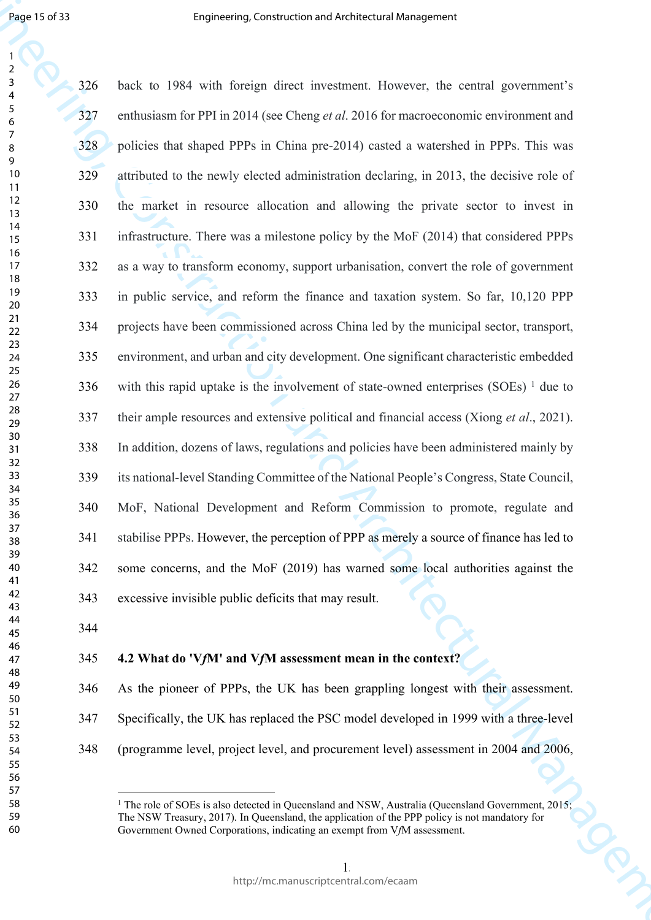Engineering, Construction and Architectural Management back to 1984 with foreign direct investment. However, the central government's enthusiasm for PPI in 2014 (see Cheng *et al*. 2016 for macroeconomic environment and policies that shaped PPPs in China pre-2014) casted a watershed in PPPs. This was attributed to the newly elected administration declaring, in 2013, the decisive role of the market in resource allocation and allowing the private sector to invest in infrastructure. There was a milestone policy by the MoF (2014) that considered PPPs as a way to transform economy, support urbanisation, convert the role of government in public service, and reform the finance and taxation system. So far, 10,120 PPP projects have been commissioned across China led by the municipal sector, transport, environment, and urban and city development. One significant characteristic embedded 336 with this rapid uptake is the involvement of state-owned enterprises  $(SOEs)$ <sup>1</sup> due to their ample resources and extensive political and financial access (Xiong *et al*., 2021). In addition, dozens of laws, regulations and policies have been administered mainly by its national-level Standing Committee of the National People's Congress, State Council, MoF, National Development and Reform Commission to promote, regulate and stabilise PPPs. However, the perception of PPP as merely a source of finance has led to 342 some concerns, and the MoF (2019) has warned some local authorities against the 343 excessive invisible public deficits that may result.

## **4.2 What do 'V***f***M' and V***f***M assessment mean in the context?**

346 As the pioneer of PPPs, the UK has been grappling longest with their assessment. 347 Specifically, the UK has replaced the PSC model developed in 1999 with a three-level 348 (programme level, project level, and procurement level) assessment in 2004 and 2006,

<sup>&</sup>lt;sup>1</sup> The role of SOEs is also detected in Queensland and NSW, Australia (Queensland Government, 2015; The NSW Treasury, 2017). In Queensland, the application of the PPP policy is not mandatory for Government Owned Corporations, indicating an exempt from V*f*M assessment.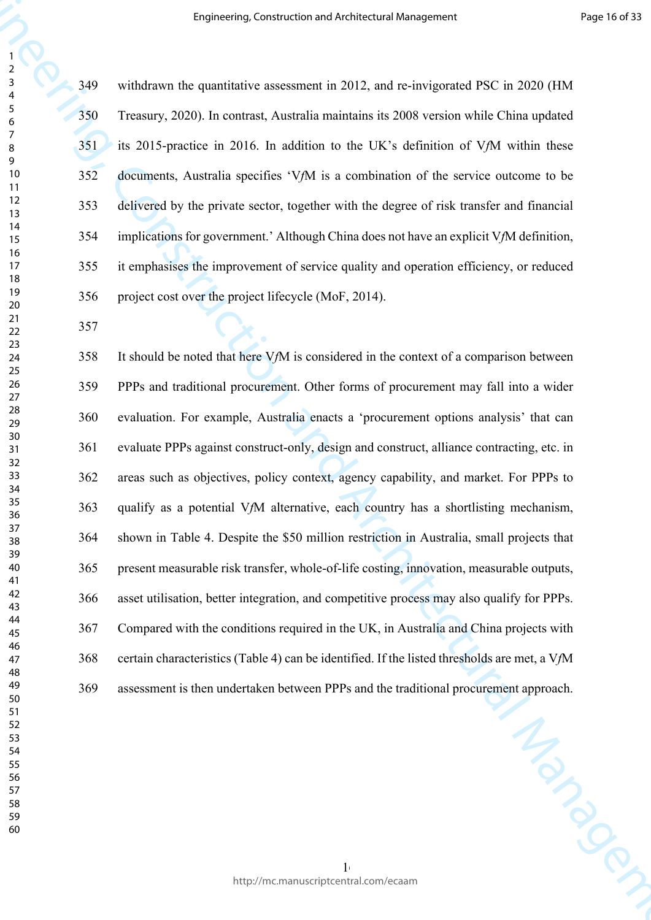349 withdrawn the quantitative assessment in 2012, and re-invigorated PSC in 2020 (HM 350 Treasury, 2020). In contrast, Australia maintains its 2008 version while China updated 351 its 2015-practice in 2016. In addition to the UK's definition of V*f*M within these 352 documents, Australia specifies 'V*f*M is a combination of the service outcome to be 353 delivered by the private sector, together with the degree of risk transfer and financial 354 implications for government.' Although China does not have an explicit V*f*M definition, 355 it emphasises the improvement of service quality and operation efficiency, or reduced 356 project cost over the project lifecycle (MoF, 2014).

**Engineering, Construction and Architectural Management**<br> **Engineering, Construction and Architectural Management in 2012, and maintains the 2010 CMM<br>
<b>Engineering, 2010)** In community, marginal maniform in the CIV of dur 358 It should be noted that here V*f*M is considered in the context of a comparison between 359 PPPs and traditional procurement. Other forms of procurement may fall into a wider 360 evaluation. For example, Australia enacts a 'procurement options analysis' that can 361 evaluate PPPs against construct-only, design and construct, alliance contracting, etc. in 362 areas such as objectives, policy context, agency capability, and market. For PPPs to 363 qualify as a potential V*f*M alternative, each country has a shortlisting mechanism, 364 shown in Table 4. Despite the \$50 million restriction in Australia, small projects that 365 present measurable risk transfer, whole-of-life costing, innovation, measurable outputs, 366 asset utilisation, better integration, and competitive process may also qualify for PPPs. 367 Compared with the conditions required in the UK, in Australia and China projects with 368 certain characteristics (Table 4) can be identified. If the listed thresholds are met, a V*f*M 369 assessment is then undertaken between PPPs and the traditional procurement approach.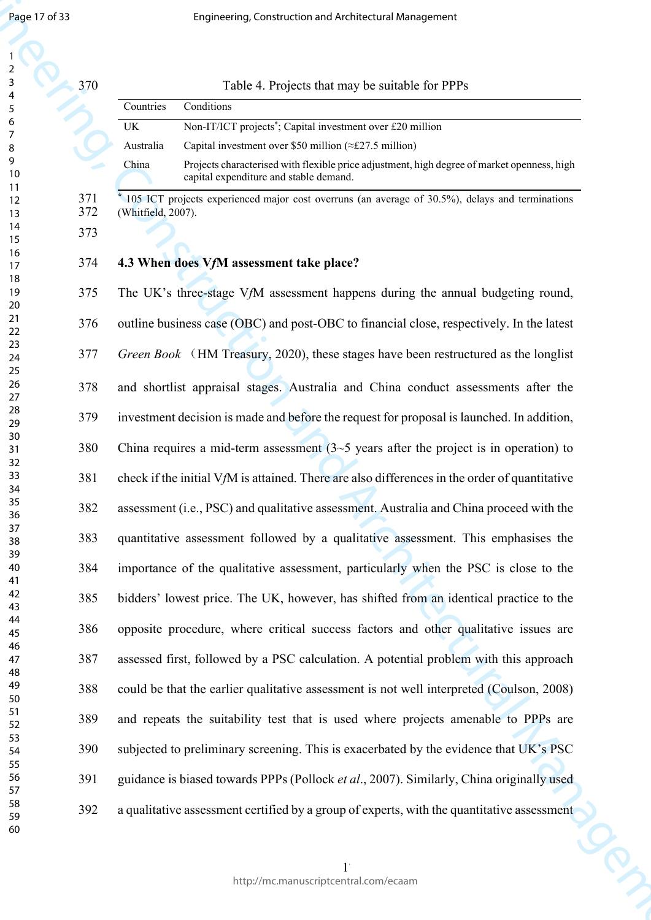| 2                   |  |
|---------------------|--|
| 3                   |  |
|                     |  |
| 4                   |  |
| 5                   |  |
| 6                   |  |
|                     |  |
|                     |  |
| 8                   |  |
| 9                   |  |
| 10                  |  |
| 1<br>$\mathbf{1}$   |  |
|                     |  |
| 1<br>$\overline{2}$ |  |
| 3<br>1              |  |
| 4<br>1              |  |
| 15                  |  |
|                     |  |
| 16                  |  |
| 1                   |  |
| 18                  |  |
| 19                  |  |
| 20                  |  |
|                     |  |
| $\overline{21}$     |  |
| $\overline{22}$     |  |
| 23                  |  |
| $\overline{24}$     |  |
|                     |  |
| 25                  |  |
| 26                  |  |
| 27                  |  |
| 28                  |  |
|                     |  |
| 29                  |  |
| 30                  |  |
| $\overline{31}$     |  |
| $\overline{32}$     |  |
|                     |  |
| 33                  |  |
| 34                  |  |
| 35                  |  |
| 36                  |  |
|                     |  |
| 37                  |  |
| 38                  |  |
| 39                  |  |
| 40                  |  |
|                     |  |
| 41                  |  |
| 42                  |  |
| 43                  |  |
| 44                  |  |
| 45                  |  |
|                     |  |
| 46                  |  |
| 47                  |  |
| 48                  |  |
|                     |  |
| 49                  |  |
| 50                  |  |
| 51                  |  |
| 52                  |  |
| 53                  |  |
|                     |  |
| 54                  |  |
| 55                  |  |
| 56                  |  |
| 57                  |  |
|                     |  |
| 58                  |  |
| 59                  |  |
| 60                  |  |

| 370        |                    | Table 4. Projects that may be suitable for PPPs                                                                                       |
|------------|--------------------|---------------------------------------------------------------------------------------------------------------------------------------|
|            | Countries          | Conditions                                                                                                                            |
|            | UK.                | Non-IT/ICT projects <sup>*</sup> ; Capital investment over £20 million                                                                |
|            | Australia          | Capital investment over \$50 million ( $\approx$ £27.5 million)                                                                       |
|            | China              | Projects characterised with flexible price adjustment, high degree of market openness, high<br>capital expenditure and stable demand. |
| 371<br>372 | (Whitfield, 2007). | 105 ICT projects experienced major cost overruns (an average of 30.5%), delays and terminations                                       |
| 373        |                    |                                                                                                                                       |
| 374        |                    | 4.3 When does VfM assessment take place?                                                                                              |
| 375        |                    | The UK's three-stage VfM assessment happens during the annual budgeting round,                                                        |
| 376        |                    | outline business case (OBC) and post-OBC to financial close, respectively. In the latest                                              |

Engine 1973<br>
Engine Construction and Architectural Management<br>
2. The Construction and Architectural Management and Architectural Management and<br>
2. The Construction and Architectural Construction and Architectural Manage *Green Book* (HM Treasury, 2020), these stages have been restructured as the longlist 378 and shortlist appraisal stages. Australia and China conduct assessments after the 379 investment decision is made and before the request for proposal is launched. In addition, 380 China requires a mid-term assessment (3~5 years after the project is in operation) to 381 check if the initial V*f*M is attained. There are also differences in the order of quantitative 382 assessment (i.e., PSC) and qualitative assessment. Australia and China proceed with the 383 quantitative assessment followed by a qualitative assessment. This emphasises the 384 importance of the qualitative assessment, particularly when the PSC is close to the 385 bidders' lowest price. The UK, however, has shifted from an identical practice to the 386 opposite procedure, where critical success factors and other qualitative issues are 387 assessed first, followed by a PSC calculation. A potential problem with this approach 388 could be that the earlier qualitative assessment is not well interpreted (Coulson, 2008) 389 and repeats the suitability test that is used where projects amenable to PPPs are 390 subjected to preliminary screening. This is exacerbated by the evidence that UK's PSC 391 guidance is biased towards PPPs (Pollock *et al*., 2007). Similarly, China originally used 392 a qualitative assessment certified by a group of experts, with the quantitative assessment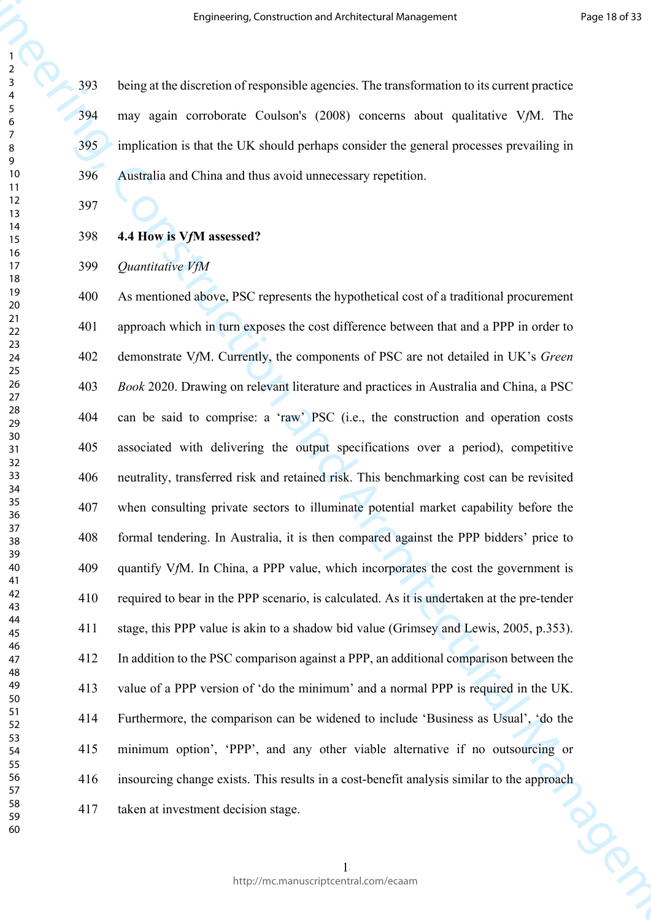> 393 being at the discretion of responsible agencies. The transformation to its current practice 394 may again corroborate Coulson's (2008) concerns about qualitative V*f*M. The 395 implication is that the UK should perhaps consider the general processes prevailing in 396 Australia and China and thus avoid unnecessary repetition.

**4.4 How is V***f***M assessed?**

## *Quantitative VfM*

**Engineering Construction and Architectural Management Properties (Architectural Management Properties and Architectural Management Construction and CMS and the specifical Management Construction and CMS and CMS and CMS a** 400 As mentioned above, PSC represents the hypothetical cost of a traditional procurement 401 approach which in turn exposes the cost difference between that and a PPP in order to 402 demonstrate V*f*M. Currently, the components of PSC are not detailed in UK's *Green Book* 2020. Drawing on relevant literature and practices in Australia and China, a PSC 404 can be said to comprise: a 'raw' PSC (i.e., the construction and operation costs 405 associated with delivering the output specifications over a period), competitive 406 neutrality, transferred risk and retained risk. This benchmarking cost can be revisited 407 when consulting private sectors to illuminate potential market capability before the 408 formal tendering. In Australia, it is then compared against the PPP bidders' price to 409 quantify V*f*M. In China, a PPP value, which incorporates the cost the government is 410 required to bear in the PPP scenario, is calculated. As it is undertaken at the pre-tender 411 stage, this PPP value is akin to a shadow bid value (Grimsey and Lewis, 2005, p.353). 412 In addition to the PSC comparison against a PPP, an additional comparison between the 413 value of a PPP version of 'do the minimum' and a normal PPP is required in the UK. 414 Furthermore, the comparison can be widened to include 'Business as Usual', 'do the 415 minimum option', 'PPP', and any other viable alternative if no outsourcing or 416 insourcing change exists. This results in a cost-benefit analysis similar to the approach<br>417 taken at investment decision stage. 417 taken at investment decision stage.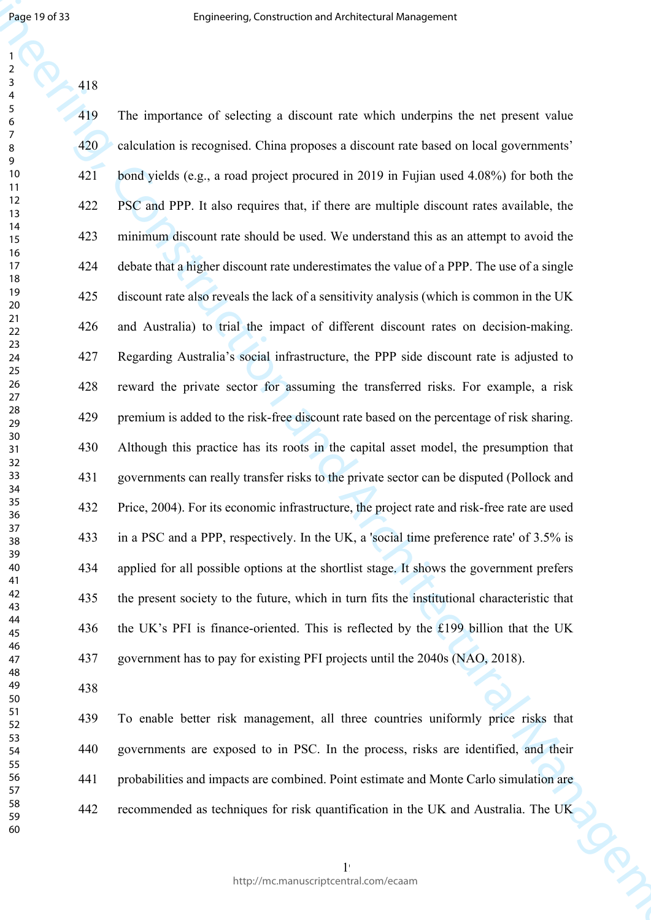Engine Transformation (and the constraint interaction and the constraint the properties of the state of the state of the state of the state of the state of the state of the state of the state of the state of the state of 419 The importance of selecting a discount rate which underpins the net present value 420 calculation is recognised. China proposes a discount rate based on local governments' 421 bond yields (e.g., a road project procured in 2019 in Fujian used 4.08%) for both the 422 PSC and PPP. It also requires that, if there are multiple discount rates available, the 423 minimum discount rate should be used. We understand this as an attempt to avoid the 424 debate that a higher discount rate underestimates the value of a PPP. The use of a single 425 discount rate also reveals the lack of a sensitivity analysis (which is common in the UK 426 and Australia) to trial the impact of different discount rates on decision-making. 427 Regarding Australia's social infrastructure, the PPP side discount rate is adjusted to 428 reward the private sector for assuming the transferred risks. For example, a risk 429 premium is added to the risk-free discount rate based on the percentage of risk sharing. 430 Although this practice has its roots in the capital asset model, the presumption that 431 governments can really transfer risks to the private sector can be disputed (Pollock and 432 Price, 2004). For its economic infrastructure, the project rate and risk-free rate are used 433 in a PSC and a PPP, respectively. In the UK, a 'social time preference rate' of 3.5% is 434 applied for all possible options at the shortlist stage. It shows the government prefers 435 the present society to the future, which in turn fits the institutional characteristic that 436 the UK's PFI is finance-oriented. This is reflected by the £199 billion that the UK 437 government has to pay for existing PFI projects until the 2040s (NAO, 2018).

439 To enable better risk management, all three countries uniformly price risks that 440 governments are exposed to in PSC. In the process, risks are identified, and their 441 probabilities and impacts are combined. Point estimate and Monte Carlo simulation are 442 recommended as techniques for risk quantification in the UK and Australia. The UK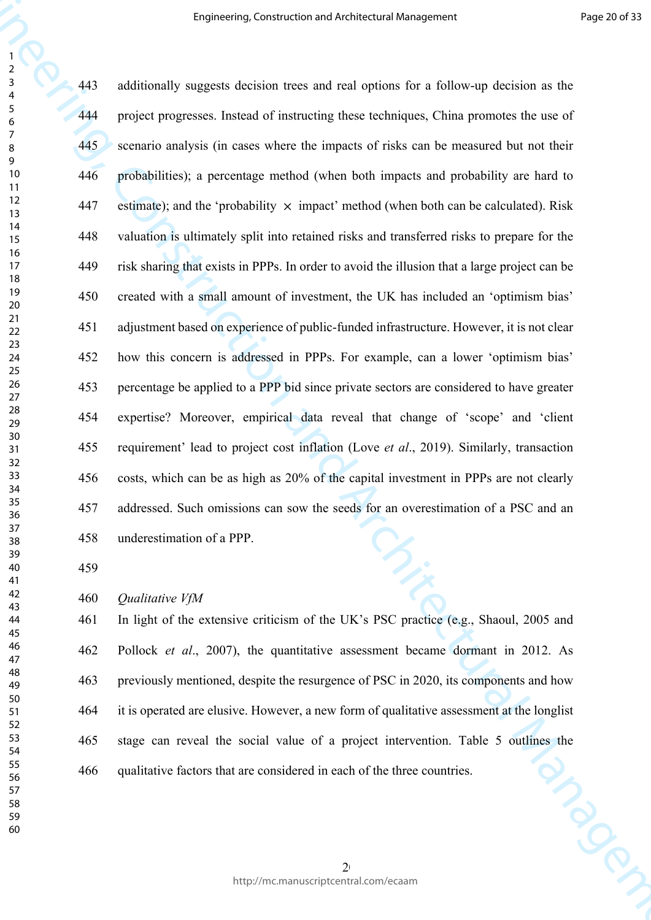**Engineering Construction and Architectural Management**<br> **Example 1443** and distinct the state of construction and the state of the state of the state of the state of the state of the state of the state of the state of th 443 additionally suggests decision trees and real options for a follow-up decision as the 444 project progresses. Instead of instructing these techniques, China promotes the use of 445 scenario analysis (in cases where the impacts of risks can be measured but not their 446 probabilities); a percentage method (when both impacts and probability are hard to 447 estimate); and the 'probability  $\times$  impact' method (when both can be calculated). Risk 448 valuation is ultimately split into retained risks and transferred risks to prepare for the 449 risk sharing that exists in PPPs. In order to avoid the illusion that a large project can be 450 created with a small amount of investment, the UK has included an 'optimism bias' 451 adjustment based on experience of public-funded infrastructure. However, it is not clear 452 how this concern is addressed in PPPs. For example, can a lower 'optimism bias' 453 percentage be applied to a PPP bid since private sectors are considered to have greater 454 expertise? Moreover, empirical data reveal that change of 'scope' and 'client 455 requirement' lead to project cost inflation (Love *et al*., 2019). Similarly, transaction 456 costs, which can be as high as 20% of the capital investment in PPPs are not clearly 457 addressed. Such omissions can sow the seeds for an overestimation of a PSC and an 458 underestimation of a PPP.

*Qualitative VfM*

461 In light of the extensive criticism of the UK's PSC practice (e.g., Shaoul, 2005 and 462 Pollock *et al*., 2007), the quantitative assessment became dormant in 2012. As 463 previously mentioned, despite the resurgence of PSC in 2020, its components and how 464 it is operated are elusive. However, a new form of qualitative assessment at the longlist 465 stage can reveal the social value of a project intervention. Table 5 outlines the qualitative factors that are considered in each of the three countries. 466 qualitative factors that are considered in each of the three countries.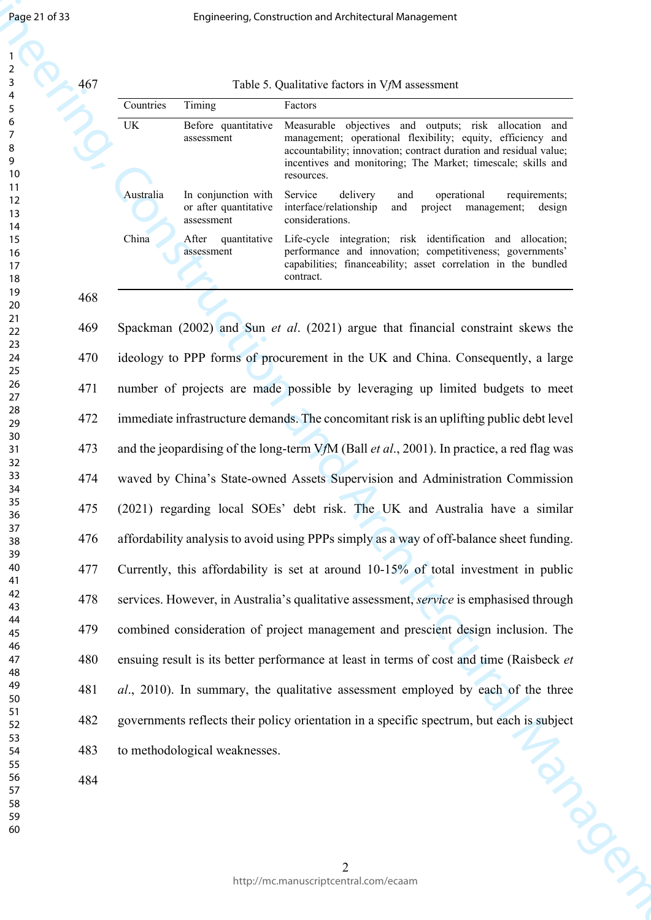| $\overline{AB}$ |
|-----------------|

| 467 |  |  | Table 5. Qualitative factors in VfM assessment |
|-----|--|--|------------------------------------------------|
|     |  |  |                                                |

| Countries | Timing                                                     | Factors                                                                                                                                                                                                                                                                     |
|-----------|------------------------------------------------------------|-----------------------------------------------------------------------------------------------------------------------------------------------------------------------------------------------------------------------------------------------------------------------------|
| UK        | Before quantitative<br>assessment                          | Measurable objectives and outputs; risk allocation<br>and<br>management; operational flexibility; equity, efficiency and<br>accountability; innovation; contract duration and residual value;<br>incentives and monitoring; The Market; timescale; skills and<br>resources. |
| Australia | In conjunction with<br>or after quantitative<br>assessment | Service<br>delivery<br>operational<br>and<br>requirements;<br>interface/relationship<br>project management;<br>and<br>design<br>considerations.                                                                                                                             |
| China     | quantitative<br>After<br>assessment                        | Life-cycle integration; risk identification and allocation;<br>performance and innovation; competitiveness; governments'<br>capabilities; financeability; asset correlation in the bundled<br>contract.                                                                     |

Engine 273<br>
Engine Construction and Architectural Management<br>
2. Construction and Architectural Management<br>
2. Construction and Architectural Management and Architectural Management<br>
2. Construction and Architectural Mana 469 Spackman (2002) and Sun *et al*. (2021) argue that financial constraint skews the 470 ideology to PPP forms of procurement in the UK and China. Consequently, a large 471 number of projects are made possible by leveraging up limited budgets to meet 472 immediate infrastructure demands. The concomitant risk is an uplifting public debt level 473 and the jeopardising of the long-term V*f*M (Ball *et al*., 2001). In practice, a red flag was 474 waved by China's State-owned Assets Supervision and Administration Commission 475 (2021) regarding local SOEs' debt risk. The UK and Australia have a similar 476 affordability analysis to avoid using PPPs simply as a way of off-balance sheet funding. 477 Currently, this affordability is set at around 10-15% of total investment in public 478 services. However, in Australia's qualitative assessment, *service* is emphasised through 479 combined consideration of project management and prescient design inclusion. The 480 ensuing result is its better performance at least in terms of cost and time (Raisbeck *et al*., 2010). In summary, the qualitative assessment employed by each of the three 482 governments reflects their policy orientation in a specific spectrum, but each is subject<br>to methodological weaknesses.<br>484 483 to methodological weaknesses.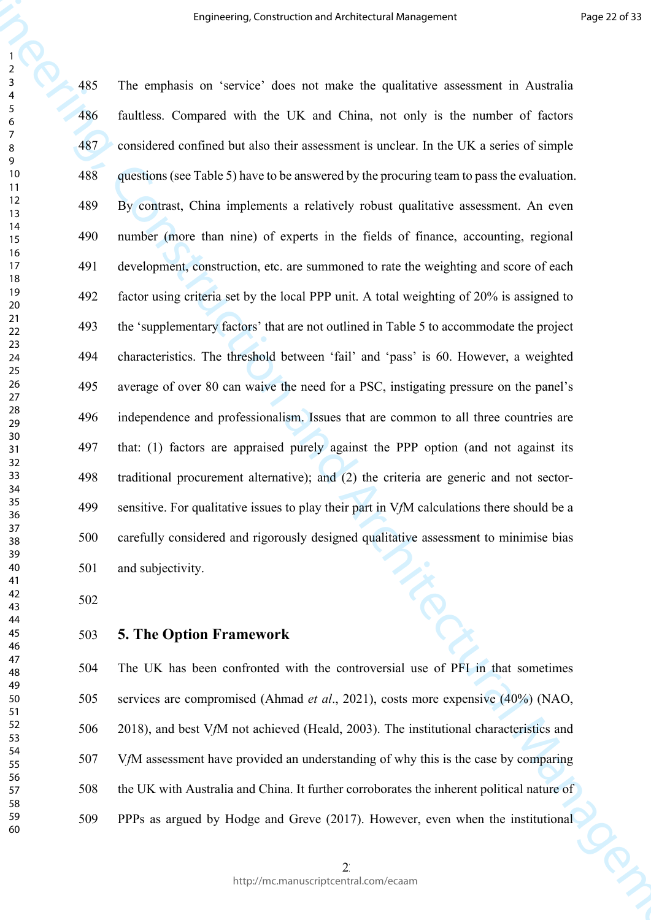Lagrosening, Construction and Architectural Management Proposition<br>
2.455 The amplitudint on "secretics" deces net make the gradients assessment in Architectural<br>
4.65 Engineering and which text DK and China, we code is t 485 The emphasis on 'service' does not make the qualitative assessment in Australia 486 faultless. Compared with the UK and China, not only is the number of factors 487 considered confined but also their assessment is unclear. In the UK a series of simple 488 questions (see Table 5) have to be answered by the procuring team to pass the evaluation. 489 By contrast, China implements a relatively robust qualitative assessment. An even 490 number (more than nine) of experts in the fields of finance, accounting, regional 491 development, construction, etc. are summoned to rate the weighting and score of each 492 factor using criteria set by the local PPP unit. A total weighting of 20% is assigned to 493 the 'supplementary factors' that are not outlined in Table 5 to accommodate the project 494 characteristics. The threshold between 'fail' and 'pass' is 60. However, a weighted 495 average of over 80 can waive the need for a PSC, instigating pressure on the panel's 496 independence and professionalism. Issues that are common to all three countries are 497 that: (1) factors are appraised purely against the PPP option (and not against its 498 traditional procurement alternative); and (2) the criteria are generic and not sector-499 sensitive. For qualitative issues to play their part in V*f*M calculations there should be a 500 carefully considered and rigorously designed qualitative assessment to minimise bias 501 and subjectivity.

#### **5. The Option Framework**

504 The UK has been confronted with the controversial use of PFI in that sometimes 505 services are compromised (Ahmad *et al*., 2021), costs more expensive (40%) (NAO, 506 2018), and best V*f*M not achieved (Heald, 2003). The institutional characteristics and 507 V*f*M assessment have provided an understanding of why this is the case by comparing 508 the UK with Australia and China. It further corroborates the inherent political nature of 509 PPPs as argued by Hodge and Greve (2017). However, even when the institutional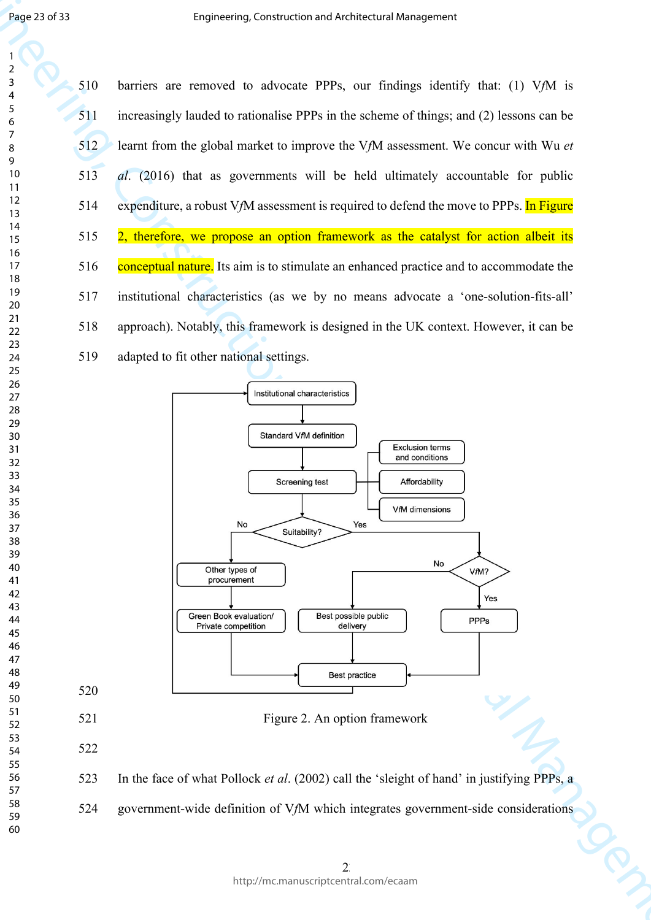510 barriers are removed to advocate PPPs, our findings identify that: (1) V*f*M is 511 increasingly lauded to rationalise PPPs in the scheme of things; and (2) lessons can be 512 learnt from the global market to improve the V*f*M assessment. We concur with Wu *et al*. (2016) that as governments will be held ultimately accountable for public 514 expenditure, a robust V*f*M assessment is required to defend the move to PPPs. In Figure 515 2, therefore, we propose an option framework as the catalyst for action albeit its 516 conceptual nature. Its aim is to stimulate an enhanced practice and to accommodate the 517 institutional characteristics (as we by no means advocate a 'one-solution-fits-all' 518 approach). Notably, this framework is designed in the UK context. However, it can be 519 adapted to fit other national settings.



524 government-wide definition of V*f*M which integrates government-side considerations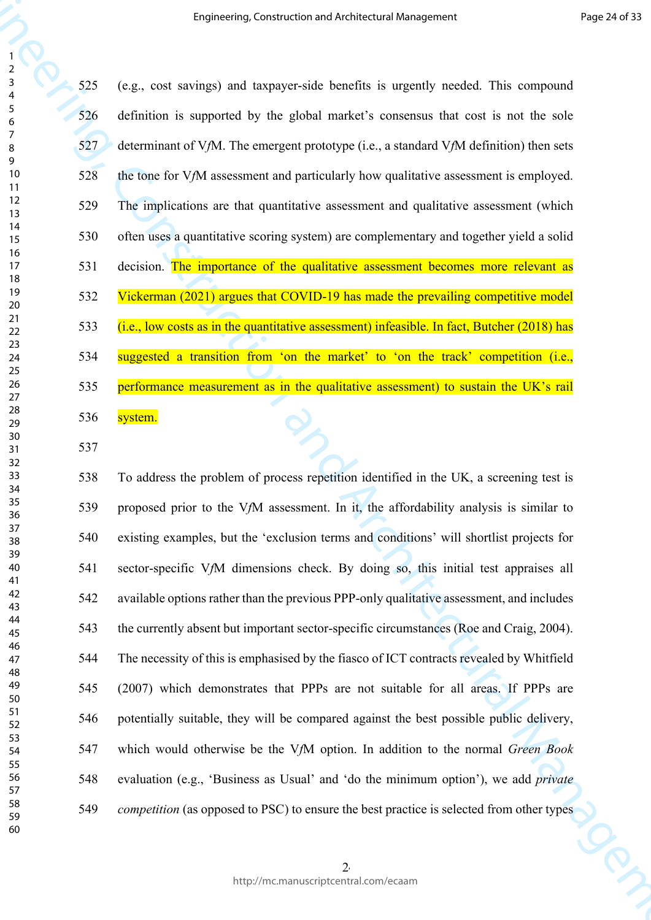**Engineering Construction and Architectural Management**<br>
From the specifical of the specific construction and Architectural Management and Architectural Management and Architectural Management and Architectural Management 525 (e.g., cost savings) and taxpayer-side benefits is urgently needed. This compound 526 definition is supported by the global market's consensus that cost is not the sole 527 determinant of V*f*M. The emergent prototype (i.e., a standard V*f*M definition) then sets 528 the tone for V*f*M assessment and particularly how qualitative assessment is employed. 529 The implications are that quantitative assessment and qualitative assessment (which 530 often uses a quantitative scoring system) are complementary and together yield a solid 531 decision. The importance of the qualitative assessment becomes more relevant as 532 Vickerman (2021) argues that COVID-19 has made the prevailing competitive model 533 (i.e., low costs as in the quantitative assessment) infeasible. In fact, Butcher (2018) has 534 suggested a transition from 'on the market' to 'on the track' competition (i.e., 535 performance measurement as in the qualitative assessment) to sustain the UK's rail 536 system.

538 To address the problem of process repetition identified in the UK, a screening test is 539 proposed prior to the V*f*M assessment. In it, the affordability analysis is similar to 540 existing examples, but the 'exclusion terms and conditions' will shortlist projects for 541 sector-specific V*f*M dimensions check. By doing so, this initial test appraises all 542 available options rather than the previous PPP-only qualitative assessment, and includes 543 the currently absent but important sector-specific circumstances (Roe and Craig, 2004). 544 The necessity of this is emphasised by the fiasco of ICT contracts revealed by Whitfield 545 (2007) which demonstrates that PPPs are not suitable for all areas. If PPPs are 546 potentially suitable, they will be compared against the best possible public delivery, 547 which would otherwise be the V*f*M option. In addition to the normal *Green Book* 548 evaluation (e.g., 'Business as Usual' and 'do the minimum option'), we add *private competition* (as opposed to PSC) to ensure the best practice is selected from other types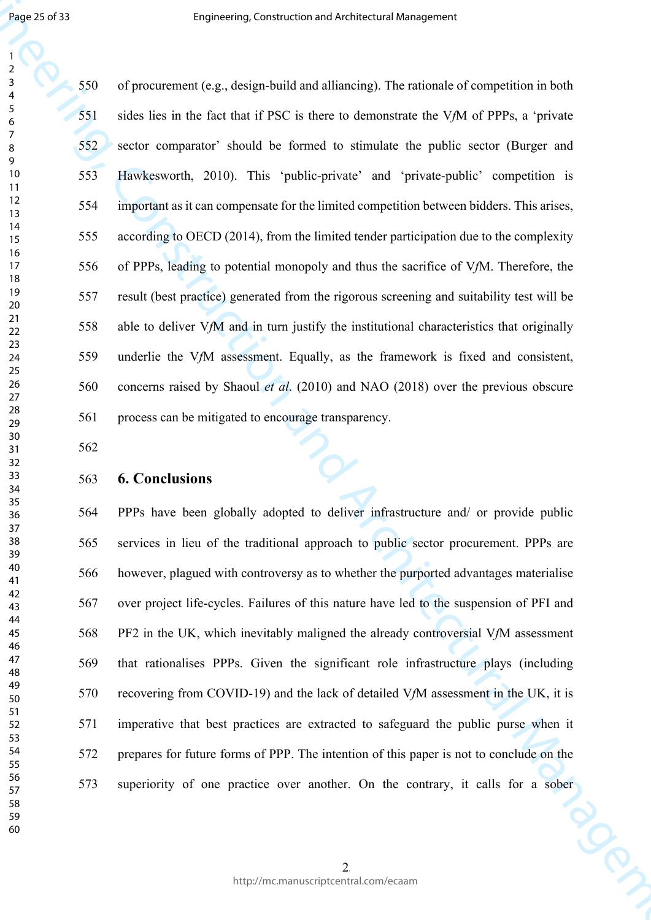Engine 2017<br>
Engine 2018<br>
1932 Comprehensive Construction and Architectural Management<br>
1933 Comprehensive Construction and a fillence of the matter of the Construction in Recht<br>
1933 Comprehensive Construction and Archit 550 of procurement (e.g., design-build and alliancing). The rationale of competition in both 551 sides lies in the fact that if PSC is there to demonstrate the V*f*M of PPPs, a 'private 552 sector comparator' should be formed to stimulate the public sector (Burger and 553 Hawkesworth, 2010). This 'public-private' and 'private-public' competition is 554 important as it can compensate for the limited competition between bidders. This arises, 555 according to OECD (2014), from the limited tender participation due to the complexity 556 of PPPs, leading to potential monopoly and thus the sacrifice of V*f*M. Therefore, the 557 result (best practice) generated from the rigorous screening and suitability test will be 558 able to deliver V*f*M and in turn justify the institutional characteristics that originally 559 underlie the V*f*M assessment. Equally, as the framework is fixed and consistent, 560 concerns raised by Shaoul *et al*. (2010) and NAO (2018) over the previous obscure 561 process can be mitigated to encourage transparency.

## **6. Conclusions**

564 PPPs have been globally adopted to deliver infrastructure and/ or provide public 565 services in lieu of the traditional approach to public sector procurement. PPPs are 566 however, plagued with controversy as to whether the purported advantages materialise 567 over project life-cycles. Failures of this nature have led to the suspension of PFI and 568 PF2 in the UK, which inevitably maligned the already controversial V*f*M assessment 569 that rationalises PPPs. Given the significant role infrastructure plays (including 570 recovering from COVID-19) and the lack of detailed V*f*M assessment in the UK, it is 571 imperative that best practices are extracted to safeguard the public purse when it 572 prepares for future forms of PPP. The intention of this paper is not to conclude on the 573 superiority of one practice over another. On the contrary, it calls for a sober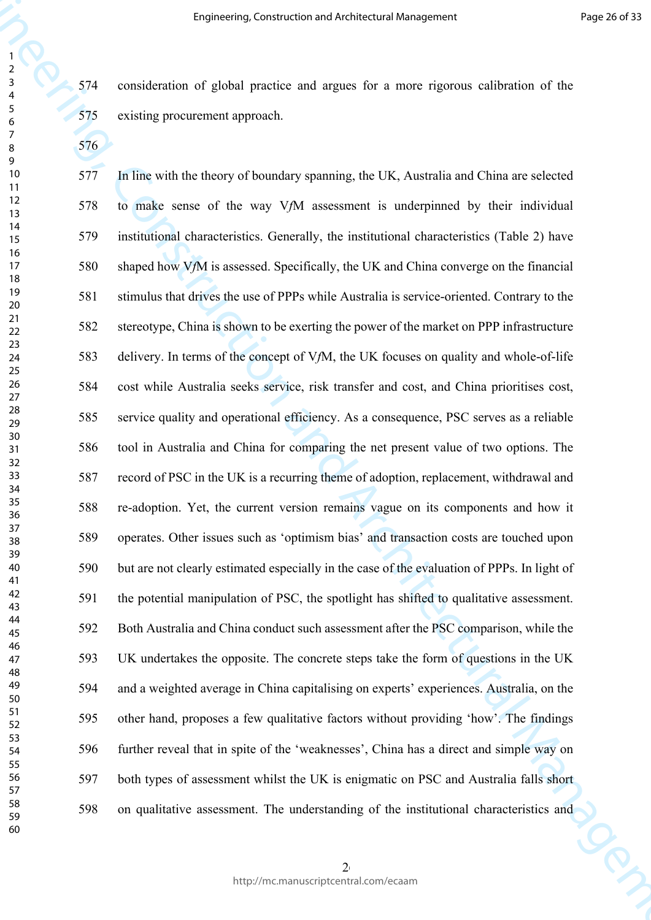574 consideration of global practice and argues for a more rigorous calibration of the 575 existing procurement approach.

**Engineering Construction and Architectural Management** Proposition and China and China and China and China and China and China and China and China and China and China and China and China and China and China and China and 577 In line with the theory of boundary spanning, the UK, Australia and China are selected 578 to make sense of the way V*f*M assessment is underpinned by their individual 579 institutional characteristics. Generally, the institutional characteristics (Table 2) have 580 shaped how V*f*M is assessed. Specifically, the UK and China converge on the financial 581 stimulus that drives the use of PPPs while Australia is service-oriented. Contrary to the 582 stereotype, China is shown to be exerting the power of the market on PPP infrastructure 583 delivery. In terms of the concept of V*f*M, the UK focuses on quality and whole-of-life 584 cost while Australia seeks service, risk transfer and cost, and China prioritises cost, 585 service quality and operational efficiency. As a consequence, PSC serves as a reliable 586 tool in Australia and China for comparing the net present value of two options. The 587 record of PSC in the UK is a recurring theme of adoption, replacement, withdrawal and 588 re-adoption. Yet, the current version remains vague on its components and how it 589 operates. Other issues such as 'optimism bias' and transaction costs are touched upon 590 but are not clearly estimated especially in the case of the evaluation of PPPs. In light of 591 the potential manipulation of PSC, the spotlight has shifted to qualitative assessment. 592 Both Australia and China conduct such assessment after the PSC comparison, while the 593 UK undertakes the opposite. The concrete steps take the form of questions in the UK 594 and a weighted average in China capitalising on experts' experiences. Australia, on the 595 other hand, proposes a few qualitative factors without providing 'how'. The findings 596 further reveal that in spite of the 'weaknesses', China has a direct and simple way on 597 both types of assessment whilst the UK is enigmatic on PSC and Australia falls short 598 on qualitative assessment. The understanding of the institutional characteristics and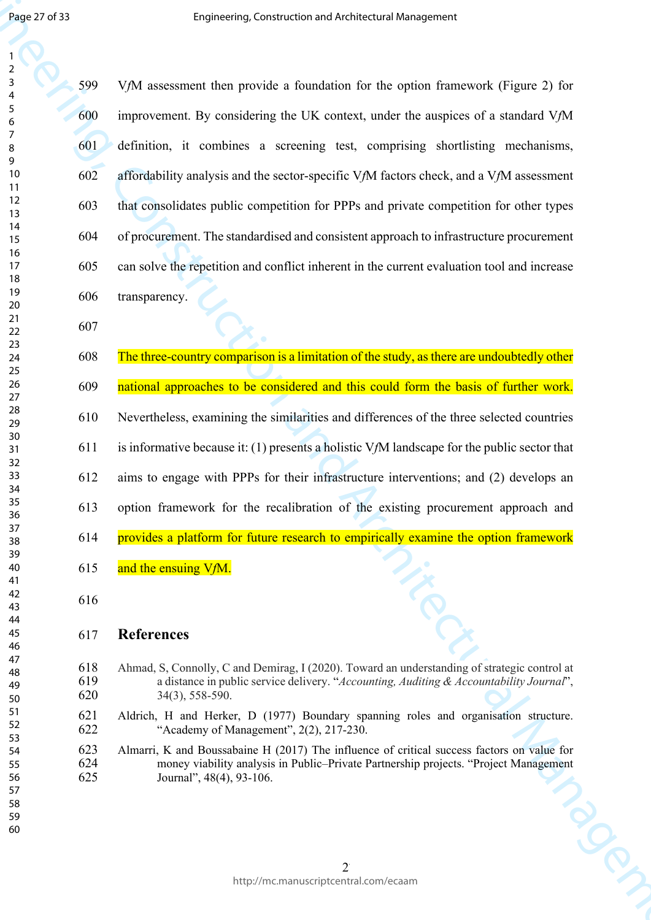Engine 2732<br>
Engine 27432<br>
Engine 27432<br>
28 (MA researcher through constraints for the conformation and Architectural Management (Figure 2) for<br>
28 (MA researcher the considering the UK source, under the antiplies of a me 599 V*f*M assessment then provide a foundation for the option framework (Figure 2) for 600 improvement. By considering the UK context, under the auspices of a standard V*f*M 601 definition, it combines a screening test, comprising shortlisting mechanisms, 602 affordability analysis and the sector-specific V*f*M factors check, and a V*f*M assessment 603 that consolidates public competition for PPPs and private competition for other types 604 of procurement. The standardised and consistent approach to infrastructure procurement 605 can solve the repetition and conflict inherent in the current evaluation tool and increase 606 transparency.

608 The three-country comparison is a limitation of the study, as there are undoubtedly other

609 national approaches to be considered and this could form the basis of further work.

610 Nevertheless, examining the similarities and differences of the three selected countries

611 is informative because it: (1) presents a holistic V*f*M landscape for the public sector that

612 aims to engage with PPPs for their infrastructure interventions; and (2) develops an

- 613 option framework for the recalibration of the existing procurement approach and
- 614 provides a platform for future research to empirically examine the option framework
- 615 and the ensuing V*f*M.
- 

## **References**

- Ahmad, S, Connolly, C and Demirag, I (2020). Toward an understanding of strategic control at a distance in public service delivery. "*Accounting, Auditing & Accountability Journal*", 34(3), 558-590.
- Aldrich, H and Herker, D (1977) Boundary spanning roles and organisation structure. "Academy of Management", 2(2), 217-230.
- Almarri, K and Boussabaine H (2017) The influence of critical success factors on value for money viability analysis in Public–Private Partnership projects. "Project Management Journal", 48(4), 93-106.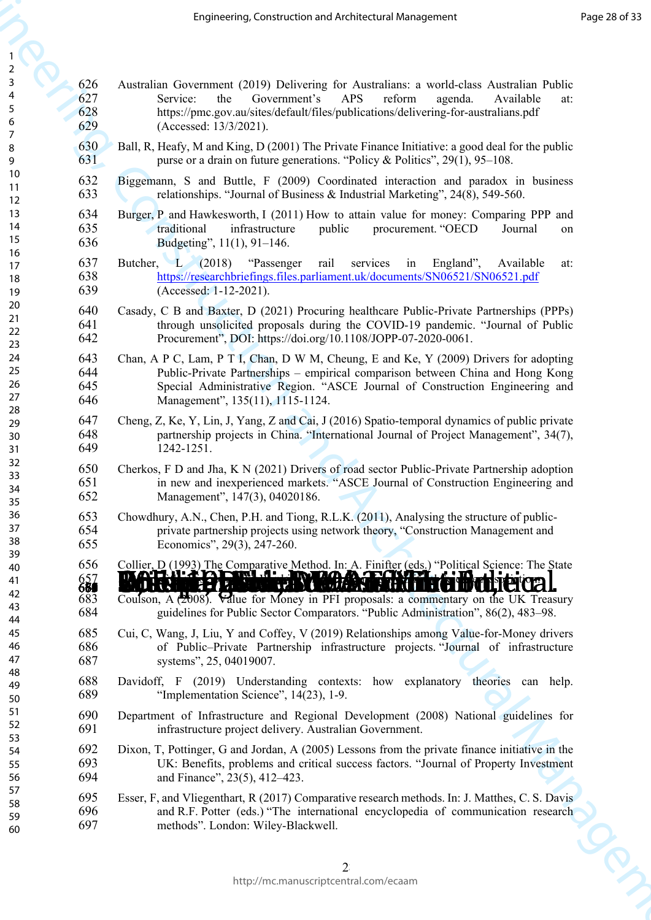| $\overline{ }$                   |  |
|----------------------------------|--|
| 3                                |  |
|                                  |  |
| 4                                |  |
| 5                                |  |
| 6                                |  |
|                                  |  |
|                                  |  |
| 8                                |  |
| 9                                |  |
|                                  |  |
| 10                               |  |
| 1<br>1                           |  |
| 12<br>13<br>14<br>15<br>16<br>17 |  |
|                                  |  |
|                                  |  |
|                                  |  |
|                                  |  |
|                                  |  |
|                                  |  |
|                                  |  |
| $\frac{18}{1}$                   |  |
| .0<br>19<br>20                   |  |
|                                  |  |
|                                  |  |
| $\overline{21}$                  |  |
| $\overline{2}$<br>$\overline{ }$ |  |
| $\frac{1}{2}$                    |  |
|                                  |  |
| 24                               |  |
| 25                               |  |
| 26                               |  |
|                                  |  |
| $^{27}$                          |  |
| 28                               |  |
| $\frac{18}{29}$                  |  |
|                                  |  |
| 30                               |  |
| 31                               |  |
| $\mathsf{3}$<br>2                |  |
|                                  |  |
| 33                               |  |
| 34                               |  |
| 35                               |  |
|                                  |  |
| 36<br>37                         |  |
|                                  |  |
| 38                               |  |
| )<br>$\frac{3}{2}$               |  |
|                                  |  |
| 40                               |  |
| 41                               |  |
| 42                               |  |
| 43                               |  |
|                                  |  |
| 44                               |  |
| 45                               |  |
| 46                               |  |
|                                  |  |
| 47                               |  |
| 48                               |  |
| 49                               |  |
| 50                               |  |
|                                  |  |
| 51                               |  |
| 52                               |  |
| 53                               |  |
|                                  |  |
| 54                               |  |
| 55                               |  |
| 56                               |  |
|                                  |  |
| 57                               |  |
| 58                               |  |
| 59                               |  |
|                                  |  |

|                                      |                          | Engineering, Construction and Architectural Management                                                                                                                                                                                                                                      | Page 28 of 33 |
|--------------------------------------|--------------------------|---------------------------------------------------------------------------------------------------------------------------------------------------------------------------------------------------------------------------------------------------------------------------------------------|---------------|
| $\overline{2}$                       |                          |                                                                                                                                                                                                                                                                                             |               |
| $\mathbf{3}$<br>4<br>$\sqrt{5}$<br>6 | 626<br>627<br>628<br>629 | Australian Government (2019) Delivering for Australians: a world-class Australian Public<br>Government's<br>APS<br>Service:<br>the<br>reform<br>agenda.<br>Available<br>at:<br>https://pmc.gov.au/sites/default/files/publications/delivering-for-australians.pdf<br>(Accessed: 13/3/2021). |               |
| 7<br>8<br>9                          | 630<br>631               | Ball, R, Heafy, M and King, D (2001) The Private Finance Initiative: a good deal for the public<br>purse or a drain on future generations. "Policy & Politics", $29(1)$ , $95-108$ .                                                                                                        |               |
| 10<br>11                             | 632<br>633               | Biggemann, S and Buttle, F (2009) Coordinated interaction and paradox in business<br>relationships. "Journal of Business & Industrial Marketing", 24(8), 549-560.                                                                                                                           |               |
| 12<br>13<br>14<br>15                 | 634<br>635<br>636        | Burger, P and Hawkesworth, I (2011) How to attain value for money: Comparing PPP and<br>procurement. "OECD<br>traditional<br>infrastructure<br>public<br>Journal<br>on<br>Budgeting", 11(1), 91-146.                                                                                        |               |
| 16<br>17<br>18<br>19                 | 637<br>638<br>639        | Butcher, L (2018) "Passenger<br>rail<br>services<br>England",<br>Available<br>in<br>at:<br>https://researchbriefings.files.parliament.uk/documents/SN06521/SN06521.pdf<br>(Accessed: 1-12-2021).                                                                                            |               |
| 20<br>21<br>22<br>23                 | 640<br>641<br>642        | Casady, C B and Baxter, D (2021) Procuring healthcare Public-Private Partnerships (PPPs)<br>through unsolicited proposals during the COVID-19 pandemic. "Journal of Public<br>Procurement", DOI: https://doi.org/10.1108/JOPP-07-2020-0061.                                                 |               |
| 24<br>25<br>26<br>27<br>28           | 643<br>644<br>645<br>646 | Chan, A P C, Lam, P T I, Chan, D W M, Cheung, E and Ke, Y (2009) Drivers for adopting<br>Public-Private Partnerships – empirical comparison between China and Hong Kong<br>Special Administrative Region. "ASCE Journal of Construction Engineering and<br>Management", 135(11), 1115-1124. |               |
| 29<br>30<br>31                       | 647<br>648<br>649        | Cheng, Z, Ke, Y, Lin, J, Yang, Z and Cai, J (2016) Spatio-temporal dynamics of public private<br>partnership projects in China. "International Journal of Project Management", 34(7),<br>1242-1251.                                                                                         |               |
| 32<br>33<br>34<br>35                 | 650<br>651<br>652        | Cherkos, F D and Jha, K N (2021) Drivers of road sector Public-Private Partnership adoption<br>in new and inexperienced markets. "ASCE Journal of Construction Engineering and<br>Management", 147(3), 04020186.                                                                            |               |
| 36<br>37<br>38<br>39                 | 653<br>654<br>655        | Chowdhury, A.N., Chen, P.H. and Tiong, R.L.K. (2011), Analysing the structure of public-<br>private partnership projects using network theory, "Construction Management and<br>Economics", 29(3), 247-260.                                                                                  |               |
| 40<br>41<br>42<br>43                 | 656<br>657<br>683<br>684 | Collier, D (1993) The Comparative Method. In: A. Finifter (eds.) "Political Science: The State<br>Coulson, A (2008). Value for Money in PFI proposals: a commentary on the UK Treasury<br>guidelines for Public Sector Comparators. "Public Administration", 86(2), 483–98.                 |               |
| 44<br>45<br>46<br>47                 | 685<br>686<br>687        | Cui, C, Wang, J, Liu, Y and Coffey, V (2019) Relationships among Value-for-Money drivers<br>of Public–Private Partnership infrastructure projects. "Journal of infrastructure<br>systems", 25, 04019007.                                                                                    |               |
| 48<br>49<br>50                       | 688<br>689               | Davidoff, F (2019) Understanding contexts: how explanatory theories can help.<br>"Implementation Science", $14(23)$ , 1-9.                                                                                                                                                                  |               |
| 51<br>52<br>53                       | 690<br>691               | Department of Infrastructure and Regional Development (2008) National guidelines for<br>infrastructure project delivery. Australian Government.                                                                                                                                             |               |
| 54<br>55<br>56                       | 692<br>693<br>694        | Dixon, T, Pottinger, G and Jordan, A (2005) Lessons from the private finance initiative in the<br>UK: Benefits, problems and critical success factors. "Journal of Property Investment<br>and Finance", 23(5), 412–423.                                                                     |               |
| 57<br>58<br>59<br>60                 | 695<br>696<br>697        | Esser, F, and Vliegenthart, R (2017) Comparative research methods. In: J. Matthes, C. S. Davis<br>and R.F. Potter (eds.) "The international encyclopedia of communication research<br>methods". London: Wiley-Blackwell.                                                                    |               |
|                                      |                          | $\overline{2}$<br>http://mc.manuscriptcentral.com/ecaam                                                                                                                                                                                                                                     | La            |
|                                      |                          |                                                                                                                                                                                                                                                                                             |               |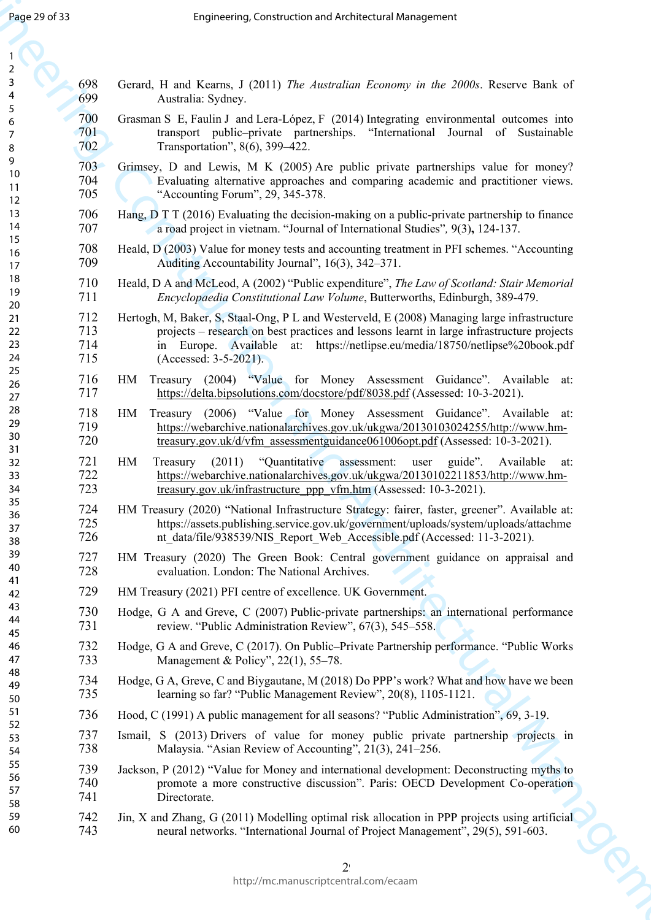| Page 29 of 33                           |                          | Engineering, Construction and Architectural Management                                                                                                                                                                                                                                            |
|-----------------------------------------|--------------------------|---------------------------------------------------------------------------------------------------------------------------------------------------------------------------------------------------------------------------------------------------------------------------------------------------|
| $\overline{2}$                          |                          |                                                                                                                                                                                                                                                                                                   |
| $\mathsf{3}$<br>4<br>$\sqrt{5}$         | 698<br>699               | Gerard, H and Kearns, J (2011) The Australian Economy in the 2000s. Reserve Bank of<br>Australia: Sydney.                                                                                                                                                                                         |
| $\boldsymbol{6}$<br>$\overline{7}$<br>8 | 700<br>701<br>702.       | Grasman S E, Faulin J and Lera-López, F (2014) Integrating environmental outcomes into<br>transport public-private partnerships. "International Journal of Sustainable<br>Transportation", 8(6), 399–422.                                                                                         |
| 9<br>10<br>11<br>12                     | 703<br>704<br>705        | Grimsey, D and Lewis, M K (2005) Are public private partnerships value for money?<br>Evaluating alternative approaches and comparing academic and practitioner views.<br>"Accounting Forum", 29, 345-378.                                                                                         |
| 13<br>14                                | 706<br>707               | Hang, D T T (2016) Evaluating the decision-making on a public-private partnership to finance<br>a road project in vietnam. "Journal of International Studies", 9(3), 124-137.                                                                                                                     |
| 15<br>16<br>17                          | 708<br>709               | Heald, D (2003) Value for money tests and accounting treatment in PFI schemes. "Accounting<br>Auditing Accountability Journal", 16(3), 342–371.                                                                                                                                                   |
| 18<br>19<br>20                          | 710<br>711               | Heald, D A and McLeod, A (2002) "Public expenditure", The Law of Scotland: Stair Memorial<br>Encyclopaedia Constitutional Law Volume, Butterworths, Edinburgh, 389-479.                                                                                                                           |
| 21<br>22<br>23<br>24                    | 712<br>713<br>714<br>715 | Hertogh, M, Baker, S, Staal-Ong, P L and Westerveld, E (2008) Managing large infrastructure<br>projects – research on best practices and lessons learnt in large infrastructure projects<br>in Europe. Available at: https://netlipse.eu/media/18750/netlipse%20book.pdf<br>(Accessed: 3-5-2021). |
| 25<br>26<br>27                          | 716<br>717               | Treasury (2004) "Value for Money Assessment Guidance". Available at:<br>HM<br>https://delta.bipsolutions.com/docstore/pdf/8038.pdf (Assessed: 10-3-2021).                                                                                                                                         |
| 28<br>29<br>30<br>31                    | 718<br>719<br>720        | Treasury (2006) "Value for Money Assessment Guidance". Available at:<br>HM<br>https://webarchive.nationalarchives.gov.uk/ukgwa/20130103024255/http://www.hm-<br>treasury.gov.uk/d/vfm assessmentguidance061006opt.pdf (Assessed: 10-3-2021).                                                      |
| 32<br>33<br>34                          | 721<br>722<br>723        | "Quantitative assessment:<br>HM<br>(2011)<br>user guide".<br>Available<br>Treasury<br>at:<br>https://webarchive.nationalarchives.gov.uk/ukgwa/20130102211853/http://www.hm-<br>treasury.gov.uk/infrastructure_ppp_vfm.htm (Assessed: 10-3-2021).                                                  |
| 35<br>36<br>37<br>38                    | 724<br>725<br>726        | HM Treasury (2020) "National Infrastructure Strategy: fairer, faster, greener". Available at:<br>https://assets.publishing.service.gov.uk/government/uploads/system/uploads/attachme<br>nt data/file/938539/NIS Report Web Accessible.pdf (Accessed: 11-3-2021).                                  |
| 39<br>40<br>41                          | 727<br>728               | HM Treasury (2020) The Green Book: Central government guidance on appraisal and<br>evaluation. London: The National Archives.                                                                                                                                                                     |
| 42                                      | 729                      | HM Treasury (2021) PFI centre of excellence. UK Government.                                                                                                                                                                                                                                       |
| 43<br>44<br>45                          | 730<br>731               | Hodge, G A and Greve, C (2007) Public-private partnerships: an international performance<br>review. "Public Administration Review", 67(3), 545–558.                                                                                                                                               |
| 46<br>47                                | 732<br>733               | Hodge, G A and Greve, C (2017). On Public–Private Partnership performance. "Public Works<br>Management & Policy", $22(1)$ , 55–78.                                                                                                                                                                |
| 48<br>49<br>50                          | 734<br>735               | Hodge, G A, Greve, C and Biygautane, M (2018) Do PPP's work? What and how have we been<br>learning so far? "Public Management Review", 20(8), 1105-1121.                                                                                                                                          |
| 51<br>52                                | 736                      | Hood, C (1991) A public management for all seasons? "Public Administration", 69, 3-19.                                                                                                                                                                                                            |
| 53<br>54                                | 737<br>738               | Ismail, S (2013) Drivers of value for money public private partnership projects in<br>Malaysia. "Asian Review of Accounting", 21(3), 241-256.                                                                                                                                                     |
| 55<br>56<br>57<br>58                    | 739<br>740<br>741        | Jackson, P (2012) "Value for Money and international development: Deconstructing myths to<br>promote a more constructive discussion". Paris: OECD Development Co-operation<br>Directorate.                                                                                                        |
| 59<br>60                                | 742<br>743               | Jin, X and Zhang, G (2011) Modelling optimal risk allocation in PPP projects using artificial<br>neural networks. "International Journal of Project Management", 29(5), 591-603.                                                                                                                  |
|                                         |                          | R<br>$2^{\circ}$                                                                                                                                                                                                                                                                                  |
|                                         |                          | http://mc.manuscriptcentral.com/ecaam                                                                                                                                                                                                                                                             |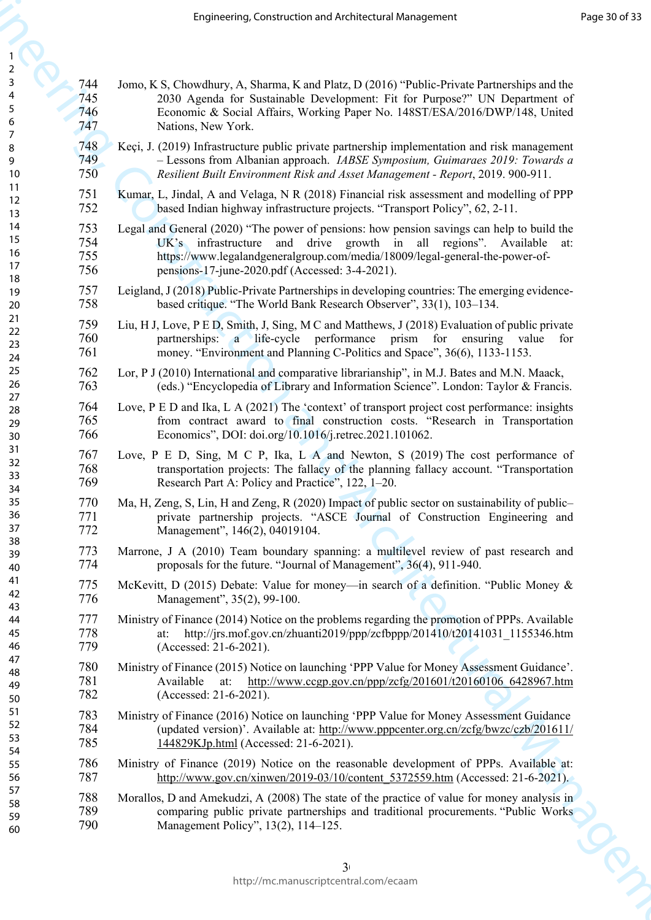|                                      |                          | Engineering, Construction and Architectural Management                                                                                                                                                                                                                                                  | Page 30 of 33 |
|--------------------------------------|--------------------------|---------------------------------------------------------------------------------------------------------------------------------------------------------------------------------------------------------------------------------------------------------------------------------------------------------|---------------|
| $\overline{2}$                       |                          |                                                                                                                                                                                                                                                                                                         |               |
| $\mathsf{3}$<br>4<br>$\sqrt{5}$<br>6 | 744<br>745<br>746<br>747 | Jomo, K S, Chowdhury, A, Sharma, K and Platz, D (2016) "Public-Private Partnerships and the<br>2030 Agenda for Sustainable Development: Fit for Purpose?" UN Department of<br>Economic & Social Affairs, Working Paper No. 148ST/ESA/2016/DWP/148, United<br>Nations, New York.                         |               |
| 7<br>8<br>9<br>10                    | 748<br>749<br>750        | Keçi, J. (2019) Infrastructure public private partnership implementation and risk management<br>- Lessons from Albanian approach. IABSE Symposium, Guimaraes 2019: Towards a<br>Resilient Built Environment Risk and Asset Management - Report, 2019. 900-911.                                          |               |
| 11<br>12<br>13                       | 751<br>752               | Kumar, L, Jindal, A and Velaga, N R (2018) Financial risk assessment and modelling of PPP<br>based Indian highway infrastructure projects. "Transport Policy", 62, 2-11.                                                                                                                                |               |
| 14<br>15<br>16<br>17<br>18           | 753<br>754<br>755<br>756 | Legal and General (2020) "The power of pensions: how pension savings can help to build the<br>UK's infrastructure and drive growth in all regions". Available<br>at:<br>https://www.legalandgeneralgroup.com/media/18009/legal-general-the-power-of-<br>pensions-17-june-2020.pdf (Accessed: 3-4-2021). |               |
| 19<br>20                             | 757<br>758               | Leigland, J (2018) Public-Private Partnerships in developing countries: The emerging evidence-<br>based critique. "The World Bank Research Observer", 33(1), 103–134.                                                                                                                                   |               |
| 21<br>22<br>23<br>24                 | 759<br>760<br>761        | Liu, H J, Love, P E D, Smith, J, Sing, M C and Matthews, J (2018) Evaluation of public private<br>partnerships: a life-cycle performance<br>prism for ensuring<br>value for<br>money. "Environment and Planning C-Politics and Space", 36(6), 1133-1153.                                                |               |
| 25<br>26                             | 762<br>763               | Lor, P J (2010) International and comparative librarianship", in M.J. Bates and M.N. Maack,<br>(eds.) "Encyclopedia of Library and Information Science". London: Taylor & Francis.                                                                                                                      |               |
| 27<br>28<br>29<br>30                 | 764<br>765<br>766        | Love, P E D and Ika, L A (2021) The 'context' of transport project cost performance: insights<br>from contract award to final construction costs. "Research in Transportation<br>Economics", DOI: doi.org/10.1016/j.retrec.2021.101062.                                                                 |               |
| 31<br>32<br>33<br>34                 | 767<br>768<br>769        | Love, P E D, Sing, M C P, Ika, L A and Newton, S (2019) The cost performance of<br>transportation projects: The fallacy of the planning fallacy account. "Transportation<br>Research Part A: Policy and Practice", 122, 1–20.                                                                           |               |
| 35<br>36<br>37                       | 770<br>771<br>772        | Ma, H, Zeng, S, Lin, H and Zeng, R (2020) Impact of public sector on sustainability of public-<br>private partnership projects. "ASCE Journal of Construction Engineering and<br>Management", 146(2), 04019104.                                                                                         |               |
| 38<br>39<br>40                       | 773<br>774               | Marrone, J A (2010) Team boundary spanning: a multilevel review of past research and<br>proposals for the future. "Journal of Management", 36(4), 911-940.                                                                                                                                              |               |
| 41<br>42<br>43                       | 775<br>776               | McKevitt, D (2015) Debate: Value for money—in search of a definition. "Public Money &<br>Management", 35(2), 99-100.                                                                                                                                                                                    |               |
| 44<br>45<br>46                       | 777<br>778<br>779        | Ministry of Finance (2014) Notice on the problems regarding the promotion of PPPs. Available<br>http://jrs.mof.gov.cn/zhuanti2019/ppp/zcfbppp/201410/t20141031 1155346.htm<br>at:<br>(Accessed: 21-6-2021).                                                                                             |               |
| 47<br>48<br>49<br>50                 | 780<br>781<br>782        | Ministry of Finance (2015) Notice on launching 'PPP Value for Money Assessment Guidance'.<br>http://www.ccgp.gov.cn/ppp/zcfg/201601/t20160106 6428967.htm<br>Available<br>at:<br>(Accessed: 21-6-2021).                                                                                                 |               |
| 51<br>52<br>53<br>54                 | 783<br>784<br>785        | Ministry of Finance (2016) Notice on launching 'PPP Value for Money Assessment Guidance<br>(updated version)'. Available at: http://www.pppcenter.org.cn/zcfg/bwzc/czb/201611/<br>144829KJp.html (Accessed: 21-6-2021).                                                                                 |               |
| 55<br>56                             | 786<br>787               | Ministry of Finance (2019) Notice on the reasonable development of PPPs. Available at:<br>http://www.gov.cn/xinwen/2019-03/10/content 5372559.htm (Accessed: 21-6-2021).                                                                                                                                |               |
| 57<br>58<br>59<br>60                 | 788<br>789<br>790        | Morallos, D and Amekudzi, A (2008) The state of the practice of value for money analysis in<br>comparing public private partnerships and traditional procurements. "Public Works"<br>Management Policy", 13(2), 114–125.                                                                                |               |
|                                      |                          | 3 <sup>1</sup>                                                                                                                                                                                                                                                                                          | Roy           |
|                                      |                          | http://mc.manuscriptcentral.com/ecaam                                                                                                                                                                                                                                                                   |               |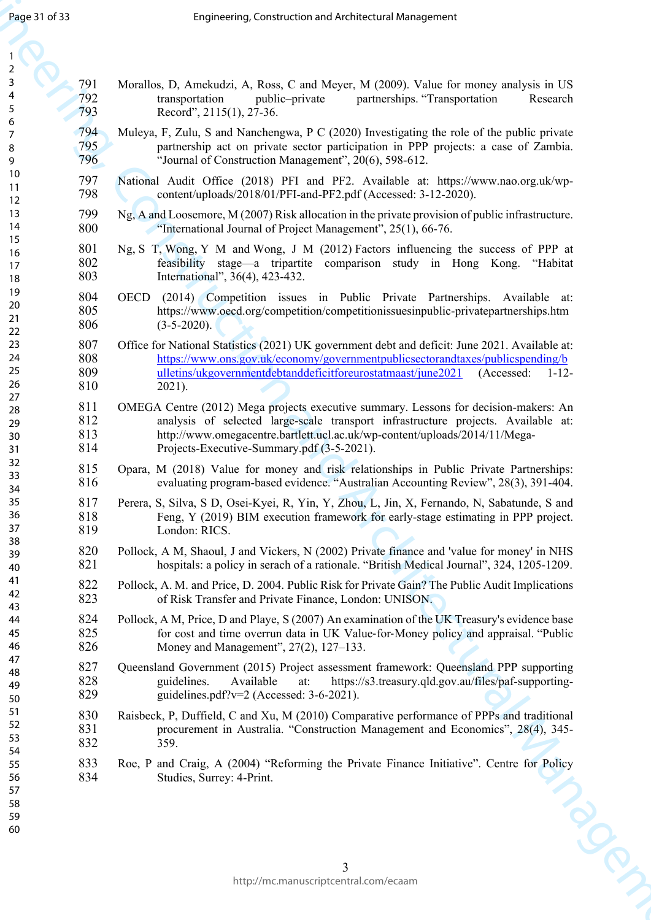| Page 31 of 33              |                          | Engineering, Construction and Architectural Management                                                                                                                                                                                                                                                |  |
|----------------------------|--------------------------|-------------------------------------------------------------------------------------------------------------------------------------------------------------------------------------------------------------------------------------------------------------------------------------------------------|--|
| $\overline{2}$             |                          |                                                                                                                                                                                                                                                                                                       |  |
| 3<br>4<br>$\sqrt{5}$       | 791<br>792<br>793        | Morallos, D, Amekudzi, A, Ross, C and Meyer, M (2009). Value for money analysis in US<br>partnerships. "Transportation<br>transportation<br>public-private<br>Research<br>Record", 2115(1), 27-36.                                                                                                    |  |
| 6<br>7<br>8<br>9           | 794<br>795<br>796        | Muleya, F, Zulu, S and Nanchengwa, P C (2020) Investigating the role of the public private<br>partnership act on private sector participation in PPP projects: a case of Zambia.<br>"Journal of Construction Management", 20(6), 598-612.                                                             |  |
| 10<br>11                   | 797<br>798               | National Audit Office (2018) PFI and PF2. Available at: https://www.nao.org.uk/wp-<br>content/uploads/2018/01/PFI-and-PF2.pdf (Accessed: 3-12-2020).                                                                                                                                                  |  |
| 12<br>13<br>14             | 799<br>800               | Ng, A and Loosemore, M (2007) Risk allocation in the private provision of public infrastructure.<br>"International Journal of Project Management", 25(1), 66-76.                                                                                                                                      |  |
| 15<br>16<br>17<br>18       | 801<br>802<br>803        | Ng, S T, Wong, Y M and Wong, J M (2012) Factors influencing the success of PPP at<br>feasibility stage-a tripartite comparison study in Hong Kong. "Habitat<br>International", 36(4), 423-432.                                                                                                        |  |
| 19<br>20<br>21<br>22       | 804<br>805<br>806        | OECD (2014) Competition issues in Public Private Partnerships. Available at:<br>https://www.oecd.org/competition/competitionissuesinpublic-privatepartnerships.htm<br>$(3-5-2020)$ .                                                                                                                  |  |
| 23<br>24<br>25<br>26       | 807<br>808<br>809<br>810 | Office for National Statistics (2021) UK government debt and deficit: June 2021. Available at:<br>https://www.ons.gov.uk/economy/governmentpublicsectorandtaxes/publicspending/b<br>ulletins/ukgovernmentdebtanddeficitforeurostatmaast/june2021<br>(Accessed:<br>$1 - 12 -$<br>$2021$ ).             |  |
| 27<br>28<br>29<br>30<br>31 | 811<br>812<br>813<br>814 | OMEGA Centre (2012) Mega projects executive summary. Lessons for decision-makers: An<br>analysis of selected large-scale transport infrastructure projects. Available at:<br>http://www.omegacentre.bartlett.ucl.ac.uk/wp-content/uploads/2014/11/Mega-<br>Projects-Executive-Summary.pdf (3-5-2021). |  |
| 32<br>33<br>34             | 815<br>816               | Opara, M (2018) Value for money and risk relationships in Public Private Partnerships:<br>evaluating program-based evidence. "Australian Accounting Review", 28(3), 391-404.                                                                                                                          |  |
| 35<br>36<br>37             | 817<br>818<br>819        | Perera, S, Silva, S D, Osei-Kyei, R, Yin, Y, Zhou, L, Jin, X, Fernando, N, Sabatunde, S and<br>Feng, Y (2019) BIM execution framework for early-stage estimating in PPP project.<br>London: RICS.                                                                                                     |  |
| 38<br>39<br>40             | 820<br>821               | Pollock, A M, Shaoul, J and Vickers, N (2002) Private finance and 'value for money' in NHS<br>hospitals: a policy in serach of a rationale. "British Medical Journal", 324, 1205-1209.                                                                                                                |  |
| 41<br>42<br>43             | 822<br>823               | Pollock, A. M. and Price, D. 2004. Public Risk for Private Gain? The Public Audit Implications<br>of Risk Transfer and Private Finance, London: UNISON.                                                                                                                                               |  |
| 44<br>45<br>46             | 824<br>825<br>826        | Pollock, A M, Price, D and Playe, S (2007) An examination of the UK Treasury's evidence base<br>for cost and time overrun data in UK Value-for-Money policy and appraisal. "Public<br>Money and Management", 27(2), 127–133.                                                                          |  |
| 47<br>48<br>49<br>50       | 827<br>828<br>829        | Queensland Government (2015) Project assessment framework: Queensland PPP supporting<br>Available<br>https://s3.treasury.qld.gov.au/files/paf-supporting-<br>guidelines.<br>at:<br>guidelines.pdf?v=2 (Accessed: 3-6-2021).                                                                           |  |
| 51<br>52<br>53<br>54       | 830<br>831<br>832        | Raisbeck, P, Duffield, C and Xu, M (2010) Comparative performance of PPPs and traditional<br>procurement in Australia. "Construction Management and Economics", 28(4), 345-<br>359.                                                                                                                   |  |
| 55<br>56<br>57             | 833<br>834               | Roe, P and Craig, A (2004) "Reforming the Private Finance Initiative". Centre for Policy<br>Studies, Surrey: 4-Print.                                                                                                                                                                                 |  |
| 58<br>59<br>60             |                          |                                                                                                                                                                                                                                                                                                       |  |
|                            |                          | 3                                                                                                                                                                                                                                                                                                     |  |
|                            |                          | http://mc.manuscriptcentral.com/ecaam                                                                                                                                                                                                                                                                 |  |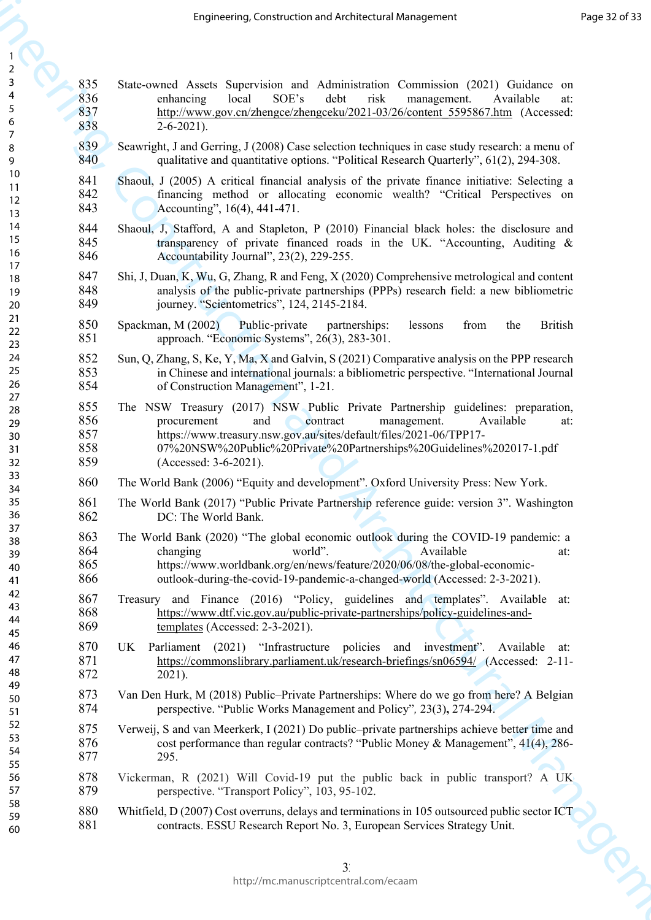| 1                     |  |
|-----------------------|--|
| $\overline{c}$        |  |
| 3                     |  |
| 4<br>5                |  |
|                       |  |
| 6<br>7                |  |
| 8                     |  |
| 9                     |  |
| 10                    |  |
| 11                    |  |
| $\overline{12}$<br>13 |  |
| 14                    |  |
| 15                    |  |
| 16                    |  |
| 17                    |  |
| 18<br>19              |  |
| 20                    |  |
| 21                    |  |
| 22                    |  |
| 23                    |  |
| 24                    |  |
| 25<br>26              |  |
| 27                    |  |
| 28                    |  |
| 29                    |  |
| 30                    |  |
| 31<br>32              |  |
| 33                    |  |
| 34                    |  |
| 35                    |  |
| 36                    |  |
| 37<br>38              |  |
| 39                    |  |
| 40                    |  |
| 41                    |  |
| 42                    |  |
| 43<br>44              |  |
| 45                    |  |
| 46                    |  |
| 47                    |  |
| 48                    |  |
| 49                    |  |
| 50<br>51              |  |
| 52                    |  |
| 53                    |  |
| 54                    |  |
| 55                    |  |
| 56<br>57              |  |
| 58                    |  |
| 59                    |  |
| 60                    |  |

| State-owned Assets Supervision and Administration Commission (2021) Guidance on<br>SOE's<br>enhancing<br>local<br>debt<br>risk<br>management.<br>Available<br>at:<br>http://www.gov.cn/zhengce/zhengceku/2021-03/26/content 5595867.htm (Accessed:<br>$2 - 6 - 2021$ .<br>Seawright, J and Gerring, J (2008) Case selection techniques in case study research: a menu of<br>qualitative and quantitative options. "Political Research Quarterly", 61(2), 294-308.<br>Shaoul, J (2005) A critical financial analysis of the private finance initiative: Selecting a<br>financing method or allocating economic wealth? "Critical Perspectives on<br>Accounting", 16(4), 441-471.<br>Shaoul, J, Stafford, A and Stapleton, P (2010) Financial black holes: the disclosure and<br>transparency of private financed roads in the UK. "Accounting, Auditing &<br>Accountability Journal", 23(2), 229-255.<br>Shi, J, Duan, K, Wu, G, Zhang, R and Feng, X (2020) Comprehensive metrological and content<br>analysis of the public-private partnerships (PPPs) research field: a new bibliometric<br>journey. "Scientometrics", 124, 2145-2184.<br>Spackman, M (2002)<br>Public-private<br>from<br><b>British</b><br>partnerships:<br>lessons<br>the<br>approach. "Economic Systems", 26(3), 283-301.<br>Sun, Q, Zhang, S, Ke, Y, Ma, X and Galvin, S (2021) Comparative analysis on the PPP research<br>in Chinese and international journals: a bibliometric perspective. "International Journal<br>of Construction Management", 1-21.<br>The NSW Treasury (2017) NSW Public Private Partnership guidelines: preparation,<br>procurement and contract management. Available at:<br>https://www.treasury.nsw.gov.au/sites/default/files/2021-06/TPP17-<br>07%20NSW%20Public%20Private%20Partnerships%20Guidelines%202017-1.pdf<br>(Accessed: 3-6-2021). |   |
|----------------------------------------------------------------------------------------------------------------------------------------------------------------------------------------------------------------------------------------------------------------------------------------------------------------------------------------------------------------------------------------------------------------------------------------------------------------------------------------------------------------------------------------------------------------------------------------------------------------------------------------------------------------------------------------------------------------------------------------------------------------------------------------------------------------------------------------------------------------------------------------------------------------------------------------------------------------------------------------------------------------------------------------------------------------------------------------------------------------------------------------------------------------------------------------------------------------------------------------------------------------------------------------------------------------------------------------------------------------------------------------------------------------------------------------------------------------------------------------------------------------------------------------------------------------------------------------------------------------------------------------------------------------------------------------------------------------------------------------------------------------------------------------------------------------------------------------------------|---|
|                                                                                                                                                                                                                                                                                                                                                                                                                                                                                                                                                                                                                                                                                                                                                                                                                                                                                                                                                                                                                                                                                                                                                                                                                                                                                                                                                                                                                                                                                                                                                                                                                                                                                                                                                                                                                                                    |   |
|                                                                                                                                                                                                                                                                                                                                                                                                                                                                                                                                                                                                                                                                                                                                                                                                                                                                                                                                                                                                                                                                                                                                                                                                                                                                                                                                                                                                                                                                                                                                                                                                                                                                                                                                                                                                                                                    |   |
|                                                                                                                                                                                                                                                                                                                                                                                                                                                                                                                                                                                                                                                                                                                                                                                                                                                                                                                                                                                                                                                                                                                                                                                                                                                                                                                                                                                                                                                                                                                                                                                                                                                                                                                                                                                                                                                    |   |
|                                                                                                                                                                                                                                                                                                                                                                                                                                                                                                                                                                                                                                                                                                                                                                                                                                                                                                                                                                                                                                                                                                                                                                                                                                                                                                                                                                                                                                                                                                                                                                                                                                                                                                                                                                                                                                                    |   |
|                                                                                                                                                                                                                                                                                                                                                                                                                                                                                                                                                                                                                                                                                                                                                                                                                                                                                                                                                                                                                                                                                                                                                                                                                                                                                                                                                                                                                                                                                                                                                                                                                                                                                                                                                                                                                                                    |   |
|                                                                                                                                                                                                                                                                                                                                                                                                                                                                                                                                                                                                                                                                                                                                                                                                                                                                                                                                                                                                                                                                                                                                                                                                                                                                                                                                                                                                                                                                                                                                                                                                                                                                                                                                                                                                                                                    |   |
|                                                                                                                                                                                                                                                                                                                                                                                                                                                                                                                                                                                                                                                                                                                                                                                                                                                                                                                                                                                                                                                                                                                                                                                                                                                                                                                                                                                                                                                                                                                                                                                                                                                                                                                                                                                                                                                    |   |
|                                                                                                                                                                                                                                                                                                                                                                                                                                                                                                                                                                                                                                                                                                                                                                                                                                                                                                                                                                                                                                                                                                                                                                                                                                                                                                                                                                                                                                                                                                                                                                                                                                                                                                                                                                                                                                                    |   |
|                                                                                                                                                                                                                                                                                                                                                                                                                                                                                                                                                                                                                                                                                                                                                                                                                                                                                                                                                                                                                                                                                                                                                                                                                                                                                                                                                                                                                                                                                                                                                                                                                                                                                                                                                                                                                                                    |   |
| The World Bank (2006) "Equity and development". Oxford University Press: New York.                                                                                                                                                                                                                                                                                                                                                                                                                                                                                                                                                                                                                                                                                                                                                                                                                                                                                                                                                                                                                                                                                                                                                                                                                                                                                                                                                                                                                                                                                                                                                                                                                                                                                                                                                                 |   |
| The World Bank (2017) "Public Private Partnership reference guide: version 3". Washington<br>DC: The World Bank.                                                                                                                                                                                                                                                                                                                                                                                                                                                                                                                                                                                                                                                                                                                                                                                                                                                                                                                                                                                                                                                                                                                                                                                                                                                                                                                                                                                                                                                                                                                                                                                                                                                                                                                                   |   |
| The World Bank (2020) "The global economic outlook during the COVID-19 pandemic: a<br>world".<br>Available<br>changing<br>at:<br>https://www.worldbank.org/en/news/feature/2020/06/08/the-global-economic-<br>outlook-during-the-covid-19-pandemic-a-changed-world (Accessed: 2-3-2021).                                                                                                                                                                                                                                                                                                                                                                                                                                                                                                                                                                                                                                                                                                                                                                                                                                                                                                                                                                                                                                                                                                                                                                                                                                                                                                                                                                                                                                                                                                                                                           |   |
| Treasury and Finance (2016) "Policy, guidelines and templates". Available at:<br>https://www.dtf.vic.gov.au/public-private-partnerships/policy-guidelines-and-<br>templates (Accessed: 2-3-2021).                                                                                                                                                                                                                                                                                                                                                                                                                                                                                                                                                                                                                                                                                                                                                                                                                                                                                                                                                                                                                                                                                                                                                                                                                                                                                                                                                                                                                                                                                                                                                                                                                                                  |   |
| Parliament (2021) "Infrastructure policies and investment".<br>Available at:<br>https://commonslibrary.parliament.uk/research-briefings/sn06594/ (Accessed: 2-11-<br>$2021$ ).                                                                                                                                                                                                                                                                                                                                                                                                                                                                                                                                                                                                                                                                                                                                                                                                                                                                                                                                                                                                                                                                                                                                                                                                                                                                                                                                                                                                                                                                                                                                                                                                                                                                     |   |
| Van Den Hurk, M (2018) Public–Private Partnerships: Where do we go from here? A Belgian<br>perspective. "Public Works Management and Policy", 23(3), 274-294.                                                                                                                                                                                                                                                                                                                                                                                                                                                                                                                                                                                                                                                                                                                                                                                                                                                                                                                                                                                                                                                                                                                                                                                                                                                                                                                                                                                                                                                                                                                                                                                                                                                                                      |   |
| Verweij, S and van Meerkerk, I (2021) Do public-private partnerships achieve better time and<br>cost performance than regular contracts? "Public Money & Management", 41(4), 286-<br>295.                                                                                                                                                                                                                                                                                                                                                                                                                                                                                                                                                                                                                                                                                                                                                                                                                                                                                                                                                                                                                                                                                                                                                                                                                                                                                                                                                                                                                                                                                                                                                                                                                                                          |   |
| Vickerman, R (2021) Will Covid-19 put the public back in public transport? A UK<br>perspective. "Transport Policy", 103, 95-102.                                                                                                                                                                                                                                                                                                                                                                                                                                                                                                                                                                                                                                                                                                                                                                                                                                                                                                                                                                                                                                                                                                                                                                                                                                                                                                                                                                                                                                                                                                                                                                                                                                                                                                                   |   |
| Whitfield, D (2007) Cost overruns, delays and terminations in 105 outsourced public sector ICT<br>contracts. ESSU Research Report No. 3, European Services Strategy Unit.                                                                                                                                                                                                                                                                                                                                                                                                                                                                                                                                                                                                                                                                                                                                                                                                                                                                                                                                                                                                                                                                                                                                                                                                                                                                                                                                                                                                                                                                                                                                                                                                                                                                          |   |
| 3<br>http://mc.manuscriptcentral.com/ecaam                                                                                                                                                                                                                                                                                                                                                                                                                                                                                                                                                                                                                                                                                                                                                                                                                                                                                                                                                                                                                                                                                                                                                                                                                                                                                                                                                                                                                                                                                                                                                                                                                                                                                                                                                                                                         | R |
|                                                                                                                                                                                                                                                                                                                                                                                                                                                                                                                                                                                                                                                                                                                                                                                                                                                                                                                                                                                                                                                                                                                                                                                                                                                                                                                                                                                                                                                                                                                                                                                                                                                                                                                                                                                                                                                    |   |